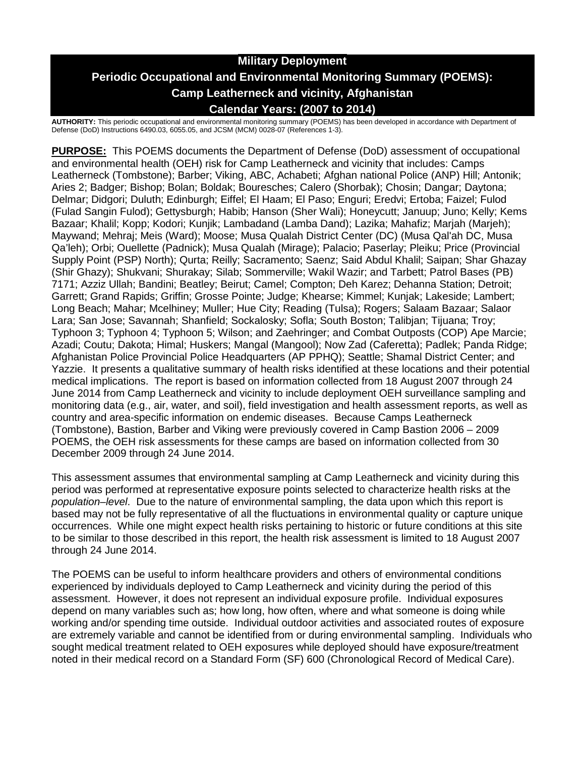# **Military Deployment Periodic Occupational and Environmental Monitoring Summary (POEMS): Camp Leatherneck and vicinity, Afghanistan Calendar Years: (2007 to 2014)**

**AUTHORITY:** This periodic occupational and environmental monitoring summary (POEMS) has been developed in accordance with Department of Defense (DoD) Instructions 6490.03, 6055.05, and JCSM (MCM) 0028-07 (References 1-3).

**PURPOSE:** This POEMS documents the Department of Defense (DoD) assessment of occupational and environmental health (OEH) risk for Camp Leatherneck and vicinity that includes: Camps Leatherneck (Tombstone); Barber; Viking, ABC, Achabeti; Afghan national Police (ANP) Hill; Antonik; Aries 2; Badger; Bishop; Bolan; Boldak; Bouresches; Calero (Shorbak); Chosin; Dangar; Daytona; Delmar; Didgori; Duluth; Edinburgh; Eiffel; El Haam; El Paso; Enguri; Eredvi; Ertoba; Faizel; Fulod (Fulad Sangin Fulod); Gettysburgh; Habib; Hanson (Sher Wali); Honeycutt; Januup; Juno; Kelly; Kems Bazaar; Khalil; Kopp; Kodori; Kunjik; Lambadand (Lamba Dand); Lazika; Mahafiz; Marjah (Marjeh); Maywand; Mehraj; Meis (Ward); Moose; Musa Qualah District Center (DC) (Musa Qal'ah DC, Musa Qa'leh); Orbi; Ouellette (Padnick); Musa Qualah (Mirage); Palacio; Paserlay; Pleiku; Price (Provincial Supply Point (PSP) North); Qurta; Reilly; Sacramento; Saenz; Said Abdul Khalil; Saipan; Shar Ghazay (Shir Ghazy); Shukvani; Shurakay; Silab; Sommerville; Wakil Wazir; and Tarbett; Patrol Bases (PB) 7171; Azziz Ullah; Bandini; Beatley; Beirut; Camel; Compton; Deh Karez; Dehanna Station; Detroit; Garrett; Grand Rapids; Griffin; Grosse Pointe; Judge; Khearse; Kimmel; Kunjak; Lakeside; Lambert; Long Beach; Mahar; Mcelhiney; Muller; Hue City; Reading (Tulsa); Rogers; Salaam Bazaar; Salaor Lara; San Jose; Savannah; Shanfield; Sockalosky; Sofla; South Boston; Talibjan; Tijuana; Troy; Typhoon 3; Typhoon 4; Typhoon 5; Wilson; and Zaehringer; and Combat Outposts (COP) Ape Marcie; Azadi; Coutu; Dakota; Himal; Huskers; Mangal (Mangool); Now Zad (Caferetta); Padlek; Panda Ridge; Afghanistan Police Provincial Police Headquarters (AP PPHQ); Seattle; Shamal District Center; and Yazzie. It presents a qualitative summary of health risks identified at these locations and their potential medical implications. The report is based on information collected from 18 August 2007 through 24 June 2014 from Camp Leatherneck and vicinity to include deployment OEH surveillance sampling and monitoring data (e.g., air, water, and soil), field investigation and health assessment reports, as well as country and area-specific information on endemic diseases. Because Camps Leatherneck (Tombstone), Bastion, Barber and Viking were previously covered in Camp Bastion 2006 – 2009 POEMS, the OEH risk assessments for these camps are based on information collected from 30 December 2009 through 24 June 2014.

This assessment assumes that environmental sampling at Camp Leatherneck and vicinity during this period was performed at representative exposure points selected to characterize health risks at the *population–level*. Due to the nature of environmental sampling, the data upon which this report is based may not be fully representative of all the fluctuations in environmental quality or capture unique occurrences. While one might expect health risks pertaining to historic or future conditions at this site to be similar to those described in this report, the health risk assessment is limited to 18 August 2007 through 24 June 2014.

The POEMS can be useful to inform healthcare providers and others of environmental conditions experienced by individuals deployed to Camp Leatherneck and vicinity during the period of this assessment. However, it does not represent an individual exposure profile. Individual exposures depend on many variables such as; how long, how often, where and what someone is doing while working and/or spending time outside. Individual outdoor activities and associated routes of exposure are extremely variable and cannot be identified from or during environmental sampling. Individuals who sought medical treatment related to OEH exposures while deployed should have exposure/treatment noted in their medical record on a Standard Form (SF) 600 (Chronological Record of Medical Care).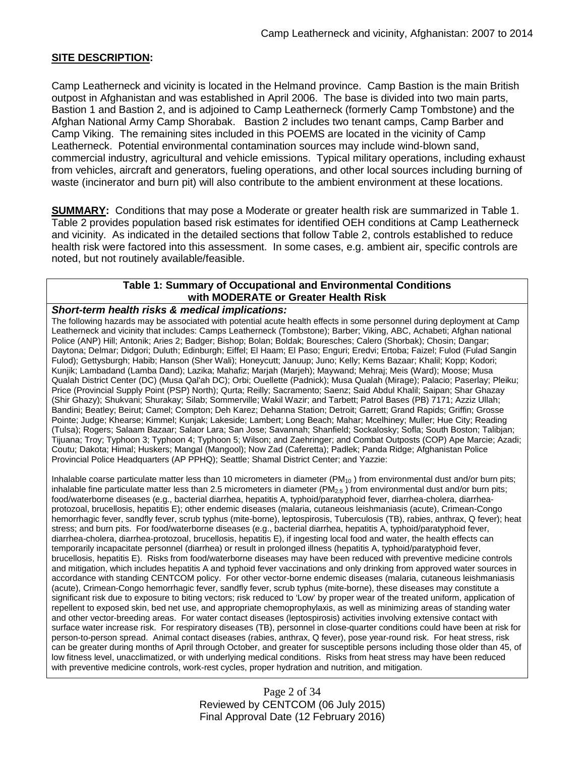## **SITE DESCRIPTION:**

Camp Leatherneck and vicinity is located in the Helmand province. Camp Bastion is the main British outpost in Afghanistan and was established in April 2006. The base is divided into two main parts, Bastion 1 and Bastion 2, and is adjoined to Camp Leatherneck (formerly Camp Tombstone) and the Afghan National Army Camp Shorabak. Bastion 2 includes two tenant camps, Camp Barber and Camp Viking. The remaining sites included in this POEMS are located in the vicinity of Camp Leatherneck. Potential environmental contamination sources may include wind-blown sand, commercial industry, agricultural and vehicle emissions. Typical military operations, including exhaust from vehicles, aircraft and generators, fueling operations, and other local sources including burning of waste (incinerator and burn pit) will also contribute to the ambient environment at these locations.

**SUMMARY:** Conditions that may pose a Moderate or greater health risk are summarized in Table 1. Table 2 provides population based risk estimates for identified OEH conditions at Camp Leatherneck and vicinity. As indicated in the detailed sections that follow Table 2, controls established to reduce health risk were factored into this assessment. In some cases, e.g. ambient air, specific controls are noted, but not routinely available/feasible.

## **Table 1: Summary of Occupational and Environmental Conditions with MODERATE or Greater Health Risk**

#### *Short-term health risks & medical implications:*

The following hazards may be associated with potential acute health effects in some personnel during deployment at Camp Leatherneck and vicinity that includes: Camps Leatherneck (Tombstone); Barber; Viking, ABC, Achabeti; Afghan national Police (ANP) Hill; Antonik; Aries 2; Badger; Bishop; Bolan; Boldak; Bouresches; Calero (Shorbak); Chosin; Dangar; Daytona; Delmar; Didgori; Duluth; Edinburgh; Eiffel; El Haam; El Paso; Enguri; Eredvi; Ertoba; Faizel; Fulod (Fulad Sangin Fulod); Gettysburgh; Habib; Hanson (Sher Wali); Honeycutt; Januup; Juno; Kelly; Kems Bazaar; Khalil; Kopp; Kodori; Kunjik; Lambadand (Lamba Dand); Lazika; Mahafiz; Marjah (Marjeh); Maywand; Mehraj; Meis (Ward); Moose; Musa Qualah District Center (DC) (Musa Qal'ah DC); Orbi; Ouellette (Padnick); Musa Qualah (Mirage); Palacio; Paserlay; Pleiku; Price (Provincial Supply Point (PSP) North); Qurta; Reilly; Sacramento; Saenz; Said Abdul Khalil; Saipan; Shar Ghazay (Shir Ghazy); Shukvani; Shurakay; Silab; Sommerville; Wakil Wazir; and Tarbett; Patrol Bases (PB) 7171; Azziz Ullah; Bandini; Beatley; Beirut; Camel; Compton; Deh Karez; Dehanna Station; Detroit; Garrett; Grand Rapids; Griffin; Grosse Pointe; Judge; Khearse; Kimmel; Kunjak; Lakeside; Lambert; Long Beach; Mahar; Mcelhiney; Muller; Hue City; Reading (Tulsa); Rogers; Salaam Bazaar; Salaor Lara; San Jose; Savannah; Shanfield; Sockalosky; Sofla; South Boston; Talibjan; Tijuana; Troy; Typhoon 3; Typhoon 4; Typhoon 5; Wilson; and Zaehringer; and Combat Outposts (COP) Ape Marcie; Azadi; Coutu; Dakota; Himal; Huskers; Mangal (Mangool); Now Zad (Caferetta); Padlek; Panda Ridge; Afghanistan Police Provincial Police Headquarters (AP PPHQ); Seattle; Shamal District Center; and Yazzie:

Inhalable coarse particulate matter less than 10 micrometers in diameter  $(PM_{10})$  from environmental dust and/or burn pits; inhalable fine particulate matter less than 2.5 micrometers in diameter ( $PM_{2.5}$ ) from environmental dust and/or burn pits; food/waterborne diseases (e.g., bacterial diarrhea, hepatitis A, typhoid/paratyphoid fever, diarrhea-cholera, diarrheaprotozoal, brucellosis, hepatitis E); other endemic diseases (malaria, cutaneous leishmaniasis (acute), Crimean-Congo hemorrhagic fever, sandfly fever, scrub typhus (mite-borne), leptospirosis, Tuberculosis (TB), rabies, anthrax, Q fever); heat stress; and burn pits. For food/waterborne diseases (e.g., bacterial diarrhea, hepatitis A, typhoid/paratyphoid fever, diarrhea-cholera, diarrhea-protozoal, brucellosis, hepatitis E), if ingesting local food and water, the health effects can temporarily incapacitate personnel (diarrhea) or result in prolonged illness (hepatitis A, typhoid/paratyphoid fever, brucellosis, hepatitis E). Risks from food/waterborne diseases may have been reduced with preventive medicine controls and mitigation, which includes hepatitis A and typhoid fever vaccinations and only drinking from approved water sources in accordance with standing CENTCOM policy. For other vector-borne endemic diseases (malaria, cutaneous leishmaniasis (acute), Crimean-Congo hemorrhagic fever, sandfly fever, scrub typhus (mite-borne), these diseases may constitute a significant risk due to exposure to biting vectors; risk reduced to 'Low' by proper wear of the treated uniform, application of repellent to exposed skin, bed net use, and appropriate chemoprophylaxis, as well as minimizing areas of standing water and other vector-breeding areas. For water contact diseases (leptospirosis) activities involving extensive contact with surface water increase risk. For respiratory diseases (TB), personnel in close-quarter conditions could have been at risk for person-to-person spread. Animal contact diseases (rabies, anthrax, Q fever), pose year-round risk. For heat stress, risk can be greater during months of April through October, and greater for susceptible persons including those older than 45, of low fitness level, unacclimatized, or with underlying medical conditions. Risks from heat stress may have been reduced with preventive medicine controls, work-rest cycles, proper hydration and nutrition, and mitigation.

> Page 2 of 34 Reviewed by CENTCOM (06 July 2015) Final Approval Date (12 February 2016)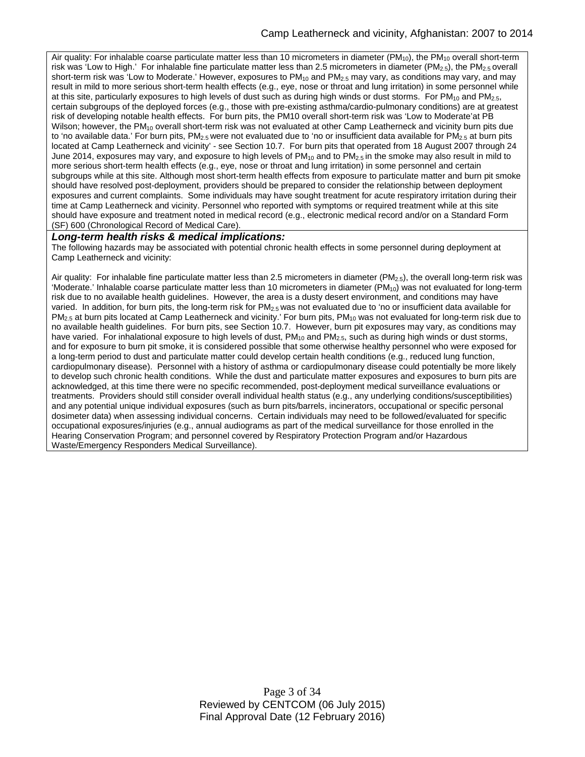Air quality: For inhalable coarse particulate matter less than 10 micrometers in diameter (PM<sub>10</sub>), the PM<sub>10</sub> overall short-term risk was 'Low to High.' For inhalable fine particulate matter less than 2.5 micrometers in diameter  $(PM_{2.5})$ , the  $PM_{2.5}$  overall short-term risk was 'Low to Moderate.' However, exposures to  $PM_{10}$  and  $PM_{2.5}$  may vary, as conditions may vary, and may result in mild to more serious short-term health effects (e.g., eye, nose or throat and lung irritation) in some personnel while at this site, particularly exposures to high levels of dust such as during high winds or dust storms. For  $PM_{10}$  and  $PM_{2.5}$ , certain subgroups of the deployed forces (e.g., those with pre-existing asthma/cardio-pulmonary conditions) are at greatest risk of developing notable health effects. For burn pits, the PM10 overall short-term risk was 'Low to Moderate'at PB Wilson; however, the PM<sub>10</sub> overall short-term risk was not evaluated at other Camp Leatherneck and vicinity burn pits due to 'no available data.' For burn pits,  $PM_{2.5}$  were not evaluated due to 'no or insufficient data available for  $PM_{2.5}$  at burn pits located at Camp Leatherneck and vicinity' - see Section 10.7. For burn pits that operated from 18 August 2007 through 24 June 2014, exposures may vary, and exposure to high levels of  $PM_{10}$  and to  $PM_{2.5}$  in the smoke may also result in mild to more serious short-term health effects (e.g., eye, nose or throat and lung irritation) in some personnel and certain subgroups while at this site. Although most short-term health effects from exposure to particulate matter and burn pit smoke should have resolved post-deployment, providers should be prepared to consider the relationship between deployment exposures and current complaints. Some individuals may have sought treatment for acute respiratory irritation during their time at Camp Leatherneck and vicinity. Personnel who reported with symptoms or required treatment while at this site should have exposure and treatment noted in medical record (e.g., electronic medical record and/or on a Standard Form (SF) 600 (Chronological Record of Medical Care).

#### *Long-term health risks & medical implications:*

The following hazards may be associated with potential chronic health effects in some personnel during deployment at Camp Leatherneck and vicinity:

Air quality: For inhalable fine particulate matter less than 2.5 micrometers in diameter (PM<sub>2.5</sub>), the overall long-term risk was 'Moderate.' Inhalable coarse particulate matter less than 10 micrometers in diameter  $(PM_{10})$  was not evaluated for long-term risk due to no available health guidelines. However, the area is a dusty desert environment, and conditions may have varied. In addition, for burn pits, the long-term risk for  $PM_{2.5}$  was not evaluated due to 'no or insufficient data available for PM<sub>2.5</sub> at burn pits located at Camp Leatherneck and vicinity.' For burn pits, PM<sub>10</sub> was not evaluated for long-term risk due to no available health guidelines. For burn pits, see Section 10.7. However, burn pit exposures may vary, as conditions may have varied. For inhalational exposure to high levels of dust, PM<sub>10</sub> and PM<sub>2.5</sub>, such as during high winds or dust storms, and for exposure to burn pit smoke, it is considered possible that some otherwise healthy personnel who were exposed for a long-term period to dust and particulate matter could develop certain health conditions (e.g., reduced lung function, cardiopulmonary disease). Personnel with a history of asthma or cardiopulmonary disease could potentially be more likely to develop such chronic health conditions. While the dust and particulate matter exposures and exposures to burn pits are acknowledged, at this time there were no specific recommended, post-deployment medical surveillance evaluations or treatments. Providers should still consider overall individual health status (e.g., any underlying conditions/susceptibilities) and any potential unique individual exposures (such as burn pits/barrels, incinerators, occupational or specific personal dosimeter data) when assessing individual concerns. Certain individuals may need to be followed/evaluated for specific occupational exposures/injuries (e.g., annual audiograms as part of the medical surveillance for those enrolled in the Hearing Conservation Program; and personnel covered by Respiratory Protection Program and/or Hazardous Waste/Emergency Responders Medical Surveillance).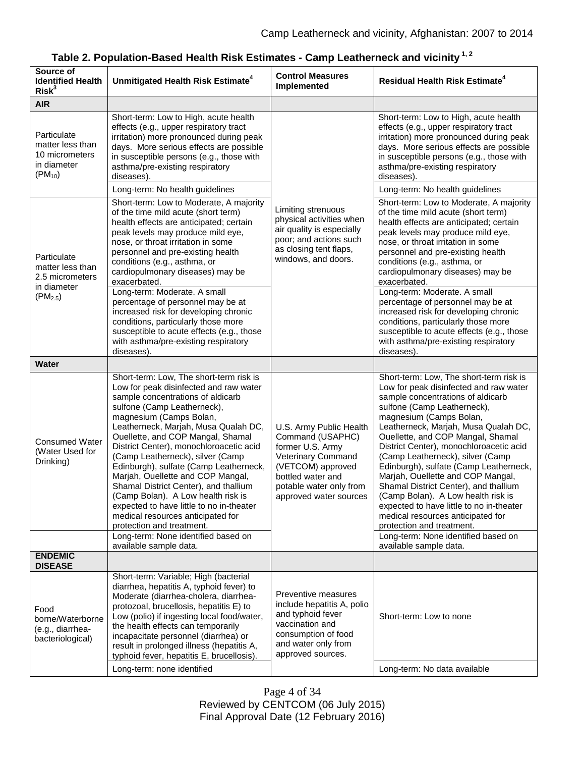| Source of<br><b>Identified Health</b><br>Risk <sup>3</sup>                        | Unmitigated Health Risk Estimate <sup>4</sup>                                                                                                                                                                                                                                                                                                                                                                                                                                                                                                                                                                                                                                             | <b>Control Measures</b><br>Implemented                                                                                                                                               | <b>Residual Health Risk Estimate<sup>4</sup></b>                                                                                                                                                                                                                                                                                                                                                                                                                                                                                                                                                                                                                                          |
|-----------------------------------------------------------------------------------|-------------------------------------------------------------------------------------------------------------------------------------------------------------------------------------------------------------------------------------------------------------------------------------------------------------------------------------------------------------------------------------------------------------------------------------------------------------------------------------------------------------------------------------------------------------------------------------------------------------------------------------------------------------------------------------------|--------------------------------------------------------------------------------------------------------------------------------------------------------------------------------------|-------------------------------------------------------------------------------------------------------------------------------------------------------------------------------------------------------------------------------------------------------------------------------------------------------------------------------------------------------------------------------------------------------------------------------------------------------------------------------------------------------------------------------------------------------------------------------------------------------------------------------------------------------------------------------------------|
| <b>AIR</b>                                                                        |                                                                                                                                                                                                                                                                                                                                                                                                                                                                                                                                                                                                                                                                                           |                                                                                                                                                                                      |                                                                                                                                                                                                                                                                                                                                                                                                                                                                                                                                                                                                                                                                                           |
| Particulate<br>matter less than<br>10 micrometers<br>in diameter<br>$(PM_{10})$   | Short-term: Low to High, acute health<br>effects (e.g., upper respiratory tract<br>irritation) more pronounced during peak<br>days. More serious effects are possible<br>in susceptible persons (e.g., those with<br>asthma/pre-existing respiratory<br>diseases).<br>Long-term: No health guidelines                                                                                                                                                                                                                                                                                                                                                                                     | Limiting strenuous<br>physical activities when<br>air quality is especially<br>poor; and actions such<br>as closing tent flaps,<br>windows, and doors.                               | Short-term: Low to High, acute health<br>effects (e.g., upper respiratory tract<br>irritation) more pronounced during peak<br>days. More serious effects are possible<br>in susceptible persons (e.g., those with<br>asthma/pre-existing respiratory<br>diseases).<br>Long-term: No health guidelines                                                                                                                                                                                                                                                                                                                                                                                     |
| Particulate<br>matter less than<br>2.5 micrometers<br>in diameter<br>$(PM_{2.5})$ | Short-term: Low to Moderate, A majority<br>of the time mild acute (short term)<br>health effects are anticipated; certain<br>peak levels may produce mild eye,<br>nose, or throat irritation in some<br>personnel and pre-existing health<br>conditions (e.g., asthma, or<br>cardiopulmonary diseases) may be<br>exacerbated.                                                                                                                                                                                                                                                                                                                                                             |                                                                                                                                                                                      | Short-term: Low to Moderate, A majority<br>of the time mild acute (short term)<br>health effects are anticipated; certain<br>peak levels may produce mild eye,<br>nose, or throat irritation in some<br>personnel and pre-existing health<br>conditions (e.g., asthma, or<br>cardiopulmonary diseases) may be<br>exacerbated.                                                                                                                                                                                                                                                                                                                                                             |
|                                                                                   | Long-term: Moderate. A small<br>percentage of personnel may be at<br>increased risk for developing chronic<br>conditions, particularly those more<br>susceptible to acute effects (e.g., those<br>with asthma/pre-existing respiratory<br>diseases).                                                                                                                                                                                                                                                                                                                                                                                                                                      |                                                                                                                                                                                      | Long-term: Moderate. A small<br>percentage of personnel may be at<br>increased risk for developing chronic<br>conditions, particularly those more<br>susceptible to acute effects (e.g., those<br>with asthma/pre-existing respiratory<br>diseases).                                                                                                                                                                                                                                                                                                                                                                                                                                      |
| Water                                                                             |                                                                                                                                                                                                                                                                                                                                                                                                                                                                                                                                                                                                                                                                                           |                                                                                                                                                                                      |                                                                                                                                                                                                                                                                                                                                                                                                                                                                                                                                                                                                                                                                                           |
| <b>Consumed Water</b><br>(Water Used for<br>Drinking)                             | Short-term: Low, The short-term risk is<br>Low for peak disinfected and raw water<br>sample concentrations of aldicarb<br>sulfone (Camp Leatherneck),<br>magnesium (Camps Bolan,<br>Leatherneck, Marjah, Musa Qualah DC,<br>Ouellette, and COP Mangal, Shamal<br>District Center), monochloroacetic acid<br>(Camp Leatherneck), silver (Camp<br>Edinburgh), sulfate (Camp Leatherneck,<br>Marjah, Ouellette and COP Mangal,<br>Shamal District Center), and thallium<br>(Camp Bolan). A Low health risk is<br>expected to have little to no in-theater<br>medical resources anticipated for<br>protection and treatment.<br>Long-term: None identified based on<br>available sample data. | U.S. Army Public Health<br>Command (USAPHC)<br>former U.S. Army<br>Veterinary Command<br>(VETCOM) approved<br>bottled water and<br>potable water only from<br>approved water sources | Short-term: Low, The short-term risk is<br>Low for peak disinfected and raw water<br>sample concentrations of aldicarb<br>sulfone (Camp Leatherneck),<br>magnesium (Camps Bolan,<br>Leatherneck, Marjah, Musa Qualah DC,<br>Ouellette, and COP Mangal, Shamal<br>District Center), monochloroacetic acid<br>(Camp Leatherneck), silver (Camp<br>Edinburgh), sulfate (Camp Leatherneck,<br>Marjah, Ouellette and COP Mangal,<br>Shamal District Center), and thallium<br>(Camp Bolan). A Low health risk is<br>expected to have little to no in-theater<br>medical resources anticipated for<br>protection and treatment.<br>Long-term: None identified based on<br>available sample data. |
| <b>ENDEMIC</b><br><b>DISEASE</b>                                                  |                                                                                                                                                                                                                                                                                                                                                                                                                                                                                                                                                                                                                                                                                           |                                                                                                                                                                                      |                                                                                                                                                                                                                                                                                                                                                                                                                                                                                                                                                                                                                                                                                           |
| Food<br>borne/Waterborne<br>(e.g., diarrhea-<br>bacteriological)                  | Short-term: Variable; High (bacterial<br>diarrhea, hepatitis A, typhoid fever) to<br>Moderate (diarrhea-cholera, diarrhea-<br>protozoal, brucellosis, hepatitis E) to<br>Low (polio) if ingesting local food/water,<br>the health effects can temporarily<br>incapacitate personnel (diarrhea) or<br>result in prolonged illness (hepatitis A,<br>typhoid fever, hepatitis E, brucellosis).<br>Long-term: none identified                                                                                                                                                                                                                                                                 | Preventive measures<br>include hepatitis A, polio<br>and typhoid fever<br>vaccination and<br>consumption of food<br>and water only from<br>approved sources.                         | Short-term: Low to none<br>Long-term: No data available                                                                                                                                                                                                                                                                                                                                                                                                                                                                                                                                                                                                                                   |

# **Table 2. Population-Based Health Risk Estimates - Camp Leatherneck and vicinity 1, 2**

Page 4 of 34 Reviewed by CENTCOM (06 July 2015) Final Approval Date (12 February 2016)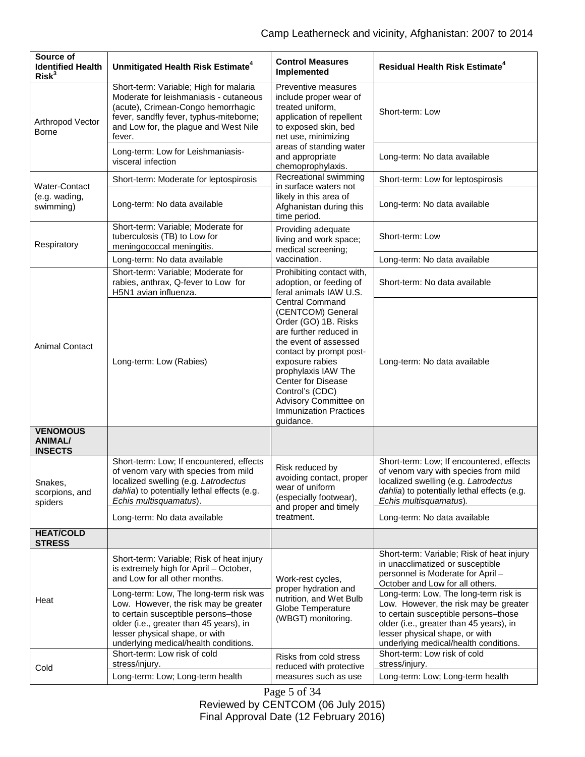| Source of<br><b>Identified Health</b><br>Risk <sup>3</sup> | Unmitigated Health Risk Estimate <sup>4</sup>                                                                                                                                                                                                 | <b>Control Measures</b><br>Implemented                                                                                                                                                                                                                                                                                                                                                               | <b>Residual Health Risk Estimate<sup>4</sup></b>                                                                                                                                                                                             |
|------------------------------------------------------------|-----------------------------------------------------------------------------------------------------------------------------------------------------------------------------------------------------------------------------------------------|------------------------------------------------------------------------------------------------------------------------------------------------------------------------------------------------------------------------------------------------------------------------------------------------------------------------------------------------------------------------------------------------------|----------------------------------------------------------------------------------------------------------------------------------------------------------------------------------------------------------------------------------------------|
| Arthropod Vector<br><b>Borne</b>                           | Short-term: Variable; High for malaria<br>Moderate for leishmaniasis - cutaneous<br>(acute), Crimean-Congo hemorrhagic<br>fever, sandfly fever, typhus-miteborne;<br>and Low for, the plague and West Nile<br>fever.                          | Preventive measures<br>include proper wear of<br>treated uniform,<br>application of repellent<br>to exposed skin, bed<br>net use, minimizing<br>areas of standing water<br>and appropriate<br>chemoprophylaxis.                                                                                                                                                                                      | Short-term: Low                                                                                                                                                                                                                              |
|                                                            | Long-term: Low for Leishmaniasis-<br>visceral infection                                                                                                                                                                                       |                                                                                                                                                                                                                                                                                                                                                                                                      | Long-term: No data available                                                                                                                                                                                                                 |
| <b>Water-Contact</b><br>(e.g. wading,<br>swimming)         | Short-term: Moderate for leptospirosis                                                                                                                                                                                                        | Recreational swimming<br>in surface waters not<br>likely in this area of<br>Afghanistan during this<br>time period.                                                                                                                                                                                                                                                                                  | Short-term: Low for leptospirosis                                                                                                                                                                                                            |
|                                                            | Long-term: No data available                                                                                                                                                                                                                  |                                                                                                                                                                                                                                                                                                                                                                                                      | Long-term: No data available                                                                                                                                                                                                                 |
| Respiratory                                                | Short-term: Variable; Moderate for<br>tuberculosis (TB) to Low for<br>meningococcal meningitis.                                                                                                                                               | Providing adequate<br>living and work space;<br>medical screening;<br>vaccination.                                                                                                                                                                                                                                                                                                                   | Short-term: Low                                                                                                                                                                                                                              |
|                                                            | Long-term: No data available                                                                                                                                                                                                                  |                                                                                                                                                                                                                                                                                                                                                                                                      | Long-term: No data available                                                                                                                                                                                                                 |
| <b>Animal Contact</b>                                      | Short-term: Variable; Moderate for<br>rabies, anthrax, Q-fever to Low for<br>H5N1 avian influenza.                                                                                                                                            | Prohibiting contact with,<br>adoption, or feeding of<br>feral animals IAW U.S.<br><b>Central Command</b><br>(CENTCOM) General<br>Order (GO) 1B. Risks<br>are further reduced in<br>the event of assessed<br>contact by prompt post-<br>exposure rabies<br>prophylaxis IAW The<br><b>Center for Disease</b><br>Control's (CDC)<br>Advisory Committee on<br><b>Immunization Practices</b><br>quidance. | Short-term: No data available                                                                                                                                                                                                                |
|                                                            | Long-term: Low (Rabies)                                                                                                                                                                                                                       |                                                                                                                                                                                                                                                                                                                                                                                                      | Long-term: No data available                                                                                                                                                                                                                 |
| <b>VENOMOUS</b><br><b>ANIMAL/</b><br><b>INSECTS</b>        |                                                                                                                                                                                                                                               |                                                                                                                                                                                                                                                                                                                                                                                                      |                                                                                                                                                                                                                                              |
| Snakes,<br>scorpions, and<br>spiders                       | Short-term: Low; If encountered, effects<br>of venom vary with species from mild<br>localized swelling (e.g. Latrodectus<br>dahlia) to potentially lethal effects (e.g.<br>Echis multisquamatus).                                             | Risk reduced by<br>avoiding contact, proper<br>wear of uniform<br>(especially footwear),<br>and proper and timely<br>treatment.                                                                                                                                                                                                                                                                      | Short-term: Low; If encountered, effects<br>of venom vary with species from mild<br>localized swelling (e.g. Latrodectus<br>dahlia) to potentially lethal effects (e.g.<br>Echis multisquamatus).                                            |
|                                                            | Long-term: No data available                                                                                                                                                                                                                  |                                                                                                                                                                                                                                                                                                                                                                                                      | Long-term: No data available                                                                                                                                                                                                                 |
| <b>HEAT/COLD</b><br><b>STRESS</b>                          |                                                                                                                                                                                                                                               |                                                                                                                                                                                                                                                                                                                                                                                                      |                                                                                                                                                                                                                                              |
| Heat                                                       | Short-term: Variable; Risk of heat injury<br>is extremely high for April - October,<br>and Low for all other months.                                                                                                                          | Work-rest cycles,<br>proper hydration and<br>nutrition, and Wet Bulb<br>Globe Temperature<br>(WBGT) monitoring.                                                                                                                                                                                                                                                                                      | Short-term: Variable; Risk of heat injury<br>in unacclimatized or susceptible<br>personnel is Moderate for April -<br>October and Low for all others.                                                                                        |
|                                                            | Long-term: Low, The long-term risk was<br>Low. However, the risk may be greater<br>to certain susceptible persons-those<br>older (i.e., greater than 45 years), in<br>lesser physical shape, or with<br>underlying medical/health conditions. |                                                                                                                                                                                                                                                                                                                                                                                                      | Long-term: Low, The long-term risk is<br>Low. However, the risk may be greater<br>to certain susceptible persons-those<br>older (i.e., greater than 45 years), in<br>lesser physical shape, or with<br>underlying medical/health conditions. |
| Cold                                                       | Short-term: Low risk of cold<br>stress/injury.                                                                                                                                                                                                | Risks from cold stress<br>reduced with protective<br>measures such as use                                                                                                                                                                                                                                                                                                                            | Short-term: Low risk of cold<br>stress/injury.                                                                                                                                                                                               |
|                                                            | Long-term: Low; Long-term health                                                                                                                                                                                                              |                                                                                                                                                                                                                                                                                                                                                                                                      | Long-term: Low; Long-term health                                                                                                                                                                                                             |

Page 5 of 34 Reviewed by CENTCOM (06 July 2015) Final Approval Date (12 February 2016)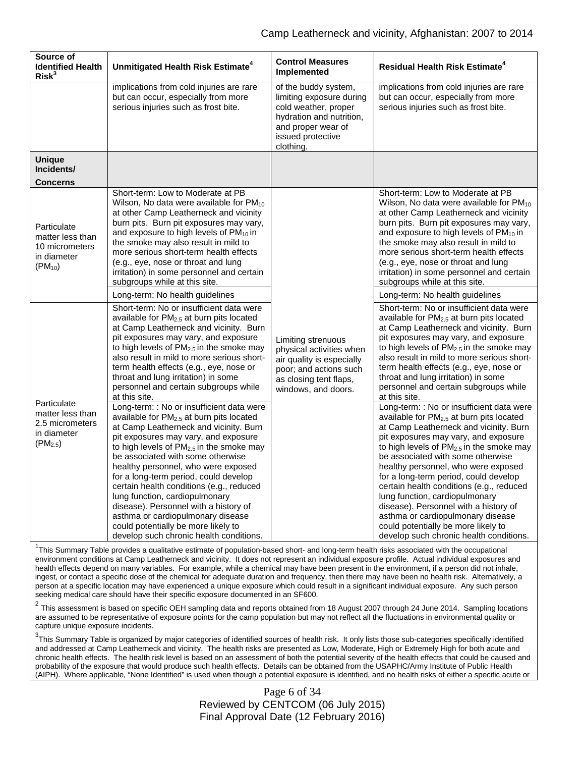| Source of<br><b>Identified Health</b><br>Risk <sup>3</sup>                                         | Unmitigated Health Risk Estimate <sup>4</sup>                                                                                                                                                                                                                                                                                                                                                                                                                                                                                                                                                                                                                                                                                                                                                                                                                                                                                                                                                                                  | <b>Control Measures</b><br>Implemented                                                                                                                       | <b>Residual Health Risk Estimate<sup>4</sup></b>                                                                                                                                                                                                                                                                                                                                                                                                                                                                                                                                                                                                                                                                                                                                                                                                                                                                                                                                                                                      |
|----------------------------------------------------------------------------------------------------|--------------------------------------------------------------------------------------------------------------------------------------------------------------------------------------------------------------------------------------------------------------------------------------------------------------------------------------------------------------------------------------------------------------------------------------------------------------------------------------------------------------------------------------------------------------------------------------------------------------------------------------------------------------------------------------------------------------------------------------------------------------------------------------------------------------------------------------------------------------------------------------------------------------------------------------------------------------------------------------------------------------------------------|--------------------------------------------------------------------------------------------------------------------------------------------------------------|---------------------------------------------------------------------------------------------------------------------------------------------------------------------------------------------------------------------------------------------------------------------------------------------------------------------------------------------------------------------------------------------------------------------------------------------------------------------------------------------------------------------------------------------------------------------------------------------------------------------------------------------------------------------------------------------------------------------------------------------------------------------------------------------------------------------------------------------------------------------------------------------------------------------------------------------------------------------------------------------------------------------------------------|
|                                                                                                    | implications from cold injuries are rare<br>but can occur, especially from more<br>serious injuries such as frost bite.                                                                                                                                                                                                                                                                                                                                                                                                                                                                                                                                                                                                                                                                                                                                                                                                                                                                                                        | of the buddy system,<br>limiting exposure during<br>cold weather, proper<br>hydration and nutrition,<br>and proper wear of<br>issued protective<br>clothing. | implications from cold injuries are rare<br>but can occur, especially from more<br>serious injuries such as frost bite.                                                                                                                                                                                                                                                                                                                                                                                                                                                                                                                                                                                                                                                                                                                                                                                                                                                                                                               |
| <b>Unique</b><br>Incidents/                                                                        |                                                                                                                                                                                                                                                                                                                                                                                                                                                                                                                                                                                                                                                                                                                                                                                                                                                                                                                                                                                                                                |                                                                                                                                                              |                                                                                                                                                                                                                                                                                                                                                                                                                                                                                                                                                                                                                                                                                                                                                                                                                                                                                                                                                                                                                                       |
| <b>Concerns</b><br>Particulate<br>matter less than<br>10 micrometers<br>in diameter<br>$(PM_{10})$ | Short-term: Low to Moderate at PB<br>Wilson, No data were available for $PM_{10}$<br>at other Camp Leatherneck and vicinity<br>burn pits. Burn pit exposures may vary,<br>and exposure to high levels of $PM_{10}$ in<br>the smoke may also result in mild to<br>more serious short-term health effects<br>(e.g., eye, nose or throat and lung<br>irritation) in some personnel and certain<br>subgroups while at this site.<br>Long-term: No health guidelines                                                                                                                                                                                                                                                                                                                                                                                                                                                                                                                                                                |                                                                                                                                                              | Short-term: Low to Moderate at PB<br>Wilson, No data were available for $PM_{10}$<br>at other Camp Leatherneck and vicinity<br>burn pits. Burn pit exposures may vary,<br>and exposure to high levels of $PM_{10}$ in<br>the smoke may also result in mild to<br>more serious short-term health effects<br>(e.g., eye, nose or throat and lung<br>irritation) in some personnel and certain<br>subgroups while at this site.<br>Long-term: No health guidelines                                                                                                                                                                                                                                                                                                                                                                                                                                                                                                                                                                       |
| Particulate<br>matter less than<br>2.5 micrometers<br>in diameter<br>$(PM_{2.5})$                  | Short-term: No or insufficient data were<br>available for $PM2.5$ at burn pits located<br>at Camp Leatherneck and vicinity. Burn<br>pit exposures may vary, and exposure<br>to high levels of $PM_{2.5}$ in the smoke may<br>also result in mild to more serious short-<br>term health effects (e.g., eye, nose or<br>throat and lung irritation) in some<br>personnel and certain subgroups while<br>at this site.<br>Long-term: : No or insufficient data were<br>available for PM <sub>2.5</sub> at burn pits located<br>at Camp Leatherneck and vicinity. Burn<br>pit exposures may vary, and exposure<br>to high levels of $PM_{2.5}$ in the smoke may<br>be associated with some otherwise<br>healthy personnel, who were exposed<br>for a long-term period, could develop<br>certain health conditions (e.g., reduced<br>lung function, cardiopulmonary<br>disease). Personnel with a history of<br>asthma or cardiopulmonary disease<br>could potentially be more likely to<br>develop such chronic health conditions. | Limiting strenuous<br>physical activities when<br>air quality is especially<br>poor; and actions such<br>as closing tent flaps,<br>windows, and doors.       | Short-term: No or insufficient data were<br>available for PM <sub>2.5</sub> at burn pits located<br>at Camp Leatherneck and vicinity. Burn<br>pit exposures may vary, and exposure<br>to high levels of PM <sub>2.5</sub> in the smoke may<br>also result in mild to more serious short-<br>term health effects (e.g., eye, nose or<br>throat and lung irritation) in some<br>personnel and certain subgroups while<br>at this site.<br>Long-term: : No or insufficient data were<br>available for $PM2.5$ at burn pits located<br>at Camp Leatherneck and vicinity. Burn<br>pit exposures may vary, and exposure<br>to high levels of $PM_{2.5}$ in the smoke may<br>be associated with some otherwise<br>healthy personnel, who were exposed<br>for a long-term period, could develop<br>certain health conditions (e.g., reduced<br>lung function, cardiopulmonary<br>disease). Personnel with a history of<br>asthma or cardiopulmonary disease<br>could potentially be more likely to<br>develop such chronic health conditions. |

<sup>1</sup>This Summary Table provides a qualitative estimate of population-based short- and long-term health risks associated with the occupational environment conditions at Camp Leatherneck and vicinity. It does not represent an individual exposure profile. Actual individual exposures and health effects depend on many variables. For example, while a chemical may have been present in the environment, if a person did not inhale, ingest, or contact a specific dose of the chemical for adequate duration and frequency, then there may have been no health risk. Alternatively, a person at a specific location may have experienced a unique exposure which could result in a significant individual exposure. Any such person seeking medical care should have their specific exposure documented in an SF600.

 $2$  This assessment is based on specific OEH sampling data and reports obtained from 18 August 2007 through 24 June 2014. Sampling locations are assumed to be representative of exposure points for the camp population but may not reflect all the fluctuations in environmental quality or capture unique exposure incidents.

 $^3$ This Summary Table is organized by major categories of identified sources of health risk. It only lists those sub-categories specifically identified and addressed at Camp Leatherneck and vicinity. The health risks are presented as Low, Moderate, High or Extremely High for both acute and chronic health effects. The health risk level is based on an assessment of both the potential severity of the health effects that could be caused and probability of the exposure that would produce such health effects. Details can be obtained from the USAPHC/Army Institute of Public Health (AIPH). Where applicable, "None Identified" is used when though a potential exposure is identified, and no health risks of either a specific acute or

## Page 6 of 34 Reviewed by CENTCOM (06 July 2015) Final Approval Date (12 February 2016)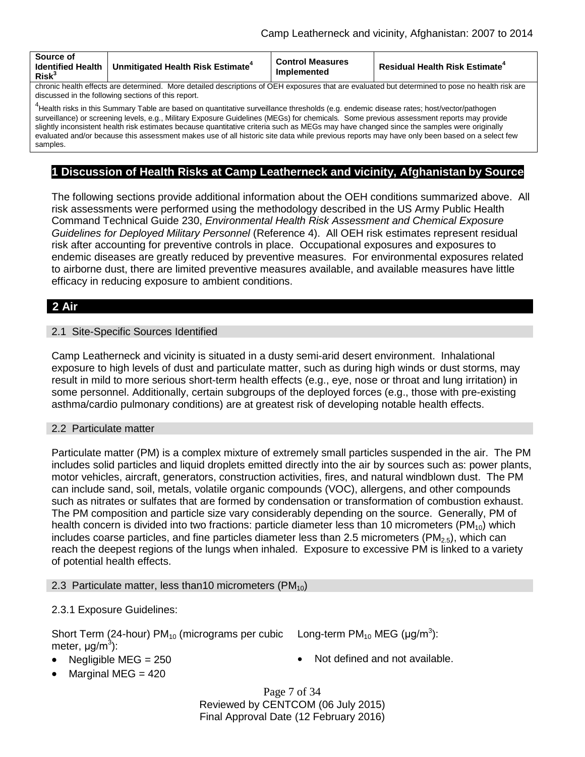| Source of<br><b>Identified Health</b><br>Risk <sup>3</sup>                                                                                      | Unmitigated Health Risk Estimate <sup>+</sup> | <b>Control Measures</b><br>Implemented | <b>Residual Health Risk Estimate<sup>4</sup></b> |  |
|-------------------------------------------------------------------------------------------------------------------------------------------------|-----------------------------------------------|----------------------------------------|--------------------------------------------------|--|
| chronic health effects are determined. More detailed descriptions of OEH exposures that are evaluated but determined to pose no health risk are |                                               |                                        |                                                  |  |

discussed in the following sections of this report.

<sup>4</sup>Health risks in this Summary Table are based on quantitative surveillance thresholds (e.g. endemic disease rates; host/vector/pathogen surveillance) or screening levels, e.g., Military Exposure Guidelines (MEGs) for chemicals*.* Some previous assessment reports may provide slightly inconsistent health risk estimates because quantitative criteria such as MEGs may have changed since the samples were originally evaluated and/or because this assessment makes use of all historic site data while previous reports may have only been based on a select few samples.

## **1 Discussion of Health Risks at Camp Leatherneck and vicinity, Afghanistan by Source**

The following sections provide additional information about the OEH conditions summarized above. All risk assessments were performed using the methodology described in the US Army Public Health Command Technical Guide 230, *Environmental Health Risk Assessment and Chemical Exposure Guidelines for Deployed Military Personnel* (Reference 4). All OEH risk estimates represent residual risk after accounting for preventive controls in place. Occupational exposures and exposures to endemic diseases are greatly reduced by preventive measures. For environmental exposures related to airborne dust, there are limited preventive measures available, and available measures have little efficacy in reducing exposure to ambient conditions.

# **2 Air**

## 2.1 Site-Specific Sources Identified

Camp Leatherneck and vicinity is situated in a dusty semi-arid desert environment. Inhalational exposure to high levels of dust and particulate matter, such as during high winds or dust storms, may result in mild to more serious short-term health effects (e.g., eye, nose or throat and lung irritation) in some personnel. Additionally, certain subgroups of the deployed forces (e.g., those with pre-existing asthma/cardio pulmonary conditions) are at greatest risk of developing notable health effects.

## 2.2 Particulate matter

Particulate matter (PM) is a complex mixture of extremely small particles suspended in the air. The PM includes solid particles and liquid droplets emitted directly into the air by sources such as: power plants, motor vehicles, aircraft, generators, construction activities, fires, and natural windblown dust. The PM can include sand, soil, metals, volatile organic compounds (VOC), allergens, and other compounds such as nitrates or sulfates that are formed by condensation or transformation of combustion exhaust. The PM composition and particle size vary considerably depending on the source. Generally, PM of health concern is divided into two fractions: particle diameter less than 10 micrometers (PM<sub>10</sub>) which includes coarse particles, and fine particles diameter less than 2.5 micrometers ( $PM_{2.5}$ ), which can reach the deepest regions of the lungs when inhaled. Exposure to excessive PM is linked to a variety of potential health effects.

## 2.3 Particulate matter, less than 10 micrometers (PM<sub>10</sub>)

## 2.3.1 Exposure Guidelines:

Short Term (24-hour)  $PM_{10}$  (micrograms per cubic meter,  $\mu$ g/m $^3$ ):

Long-term  $PM_{10}$  MEG (µg/m<sup>3</sup>):

- 
- Negligible MEG = 250 Not defined and not available.
- Marginal MEG  $=$  420

Page 7 of 34 Reviewed by CENTCOM (06 July 2015) Final Approval Date (12 February 2016)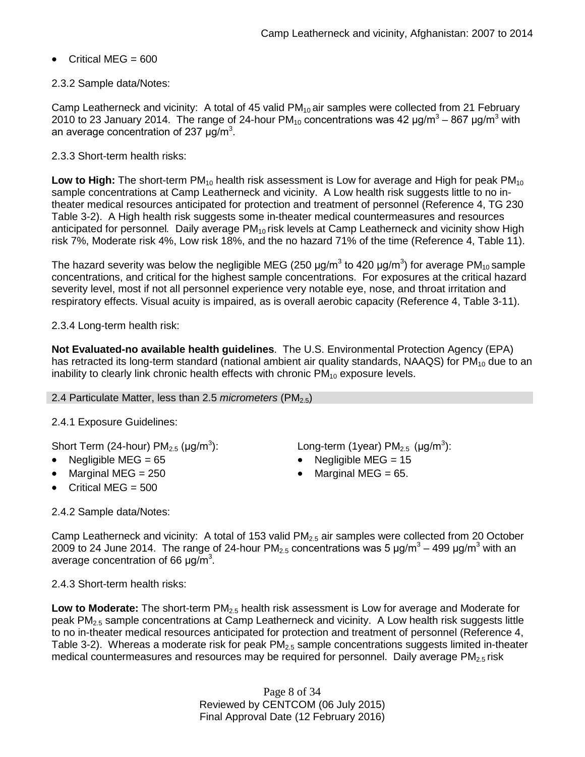• Critical MEG = 600

## 2.3.2 Sample data/Notes:

Camp Leatherneck and vicinity: A total of 45 valid  $PM_{10}$  air samples were collected from 21 February 2010 to 23 January 2014. The range of 24-hour  $PM_{10}$  concentrations was 42  $\mu$ g/m<sup>3</sup> – 867  $\mu$ g/m<sup>3</sup> with an average concentration of 237  $\mu$ g/m<sup>3</sup>.

2.3.3 Short-term health risks:

**Low to High:** The short-term PM<sub>10</sub> health risk assessment is Low for average and High for peak PM<sub>10</sub> sample concentrations at Camp Leatherneck and vicinity. A Low health risk suggests little to no intheater medical resources anticipated for protection and treatment of personnel (Reference 4, TG 230 Table 3-2). A High health risk suggests some in-theater medical countermeasures and resources anticipated for personnel. Daily average PM<sub>10</sub> risk levels at Camp Leatherneck and vicinity show High risk 7%, Moderate risk 4%, Low risk 18%, and the no hazard 71% of the time (Reference 4, Table 11).

The hazard severity was below the negligible MEG (250  $\mu$ g/m $^3$  to 420  $\mu$ g/m $^3$ ) for average PM $_{10}$ sample concentrations, and critical for the highest sample concentrations. For exposures at the critical hazard severity level, most if not all personnel experience very notable eye, nose, and throat irritation and respiratory effects. Visual acuity is impaired, as is overall aerobic capacity (Reference 4, Table 3-11).

2.3.4 Long-term health risk:

**Not Evaluated-no available health guidelines**. The U.S. Environmental Protection Agency (EPA) has retracted its long-term standard (national ambient air quality standards, NAAQS) for  $PM_{10}$  due to an inability to clearly link chronic health effects with chronic  $PM_{10}$  exposure levels.

#### 2.4 Particulate Matter, less than 2.5 *micrometers* (PM<sub>2.5</sub>)

## 2.4.1 Exposure Guidelines:

Short Term (24-hour)  $PM_{2.5}$  (µg/m<sup>3</sup>):

- 
- 
- Critical MEG = 500

): Long-term (1year) PM<sub>2.5</sub> (µg/m<sup>3</sup>):

- Negligible MEG = 65 Negligible MEG = 15
	- Marginal MEG =  $250$  Marginal MEG =  $65$ .

2.4.2 Sample data/Notes:

Camp Leatherneck and vicinity: A total of 153 valid PM<sub>2.5</sub> air samples were collected from 20 October 2009 to 24 June 2014. The range of 24-hour PM<sub>2.5</sub> concentrations was 5  $\mu$ g/m<sup>3</sup> – 499  $\mu$ g/m<sup>3</sup> with an average concentration of 66  $\mu$ g/m<sup>3</sup>.

2.4.3 Short-term health risks:

**Low to Moderate:** The short-term PM<sub>2.5</sub> health risk assessment is Low for average and Moderate for peak  $PM_{2.5}$  sample concentrations at Camp Leatherneck and vicinity. A Low health risk suggests little to no in-theater medical resources anticipated for protection and treatment of personnel (Reference 4, Table 3-2). Whereas a moderate risk for peak  $PM<sub>2.5</sub>$  sample concentrations suggests limited in-theater medical countermeasures and resources may be required for personnel. Daily average  $PM<sub>2.5</sub>$  risk

> Page 8 of 34 Reviewed by CENTCOM (06 July 2015) Final Approval Date (12 February 2016)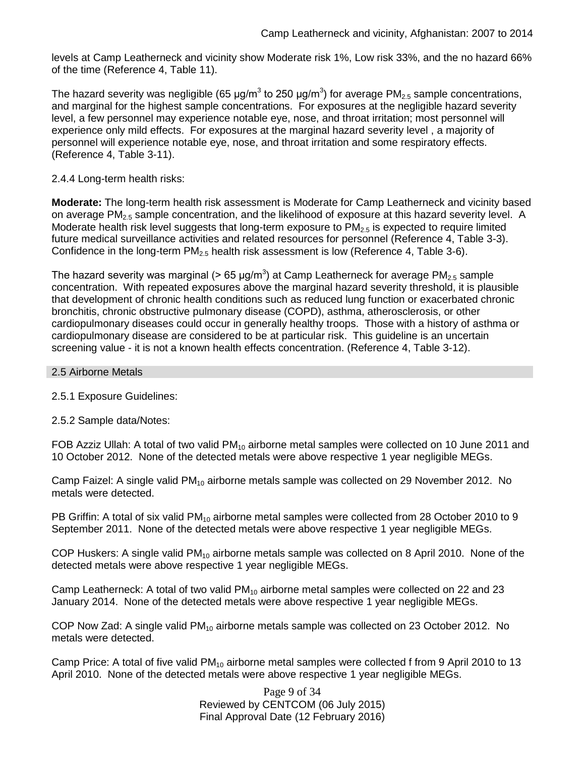levels at Camp Leatherneck and vicinity show Moderate risk 1%, Low risk 33%, and the no hazard 66% of the time (Reference 4, Table 11).

The hazard severity was negligible (65 µg/m $^3$  to 250 µg/m $^3$ ) for average PM<sub>2.5</sub> sample concentrations, and marginal for the highest sample concentrations. For exposures at the negligible hazard severity level, a few personnel may experience notable eye, nose, and throat irritation; most personnel will experience only mild effects. For exposures at the marginal hazard severity level , a majority of personnel will experience notable eye, nose, and throat irritation and some respiratory effects. (Reference 4, Table 3-11).

## 2.4.4 Long-term health risks:

**Moderate:** The long-term health risk assessment is Moderate for Camp Leatherneck and vicinity based on average PM<sub>2.5</sub> sample concentration, and the likelihood of exposure at this hazard severity level. A Moderate health risk level suggests that long-term exposure to  $PM<sub>2.5</sub>$  is expected to require limited future medical surveillance activities and related resources for personnel (Reference 4, Table 3-3). Confidence in the long-term  $PM_{2.5}$  health risk assessment is low (Reference 4, Table 3-6).

The hazard severity was marginal (> 65 µg/m<sup>3</sup>) at Camp Leatherneck for average PM<sub>2.5</sub> sample concentration. With repeated exposures above the marginal hazard severity threshold, it is plausible that development of chronic health conditions such as reduced lung function or exacerbated chronic bronchitis, chronic obstructive pulmonary disease (COPD), asthma, atherosclerosis, or other cardiopulmonary diseases could occur in generally healthy troops. Those with a history of asthma or cardiopulmonary disease are considered to be at particular risk. This guideline is an uncertain screening value - it is not a known health effects concentration. (Reference 4, Table 3-12).

#### 2.5 Airborne Metals

2.5.1 Exposure Guidelines:

2.5.2 Sample data/Notes:

FOB Azziz Ullah: A total of two valid  $PM_{10}$  airborne metal samples were collected on 10 June 2011 and 10 October 2012. None of the detected metals were above respective 1 year negligible MEGs.

Camp Faizel: A single valid PM<sub>10</sub> airborne metals sample was collected on 29 November 2012. No metals were detected.

PB Griffin: A total of six valid PM<sub>10</sub> airborne metal samples were collected from 28 October 2010 to 9 September 2011. None of the detected metals were above respective 1 year negligible MEGs.

COP Huskers: A single valid  $PM_{10}$  airborne metals sample was collected on 8 April 2010. None of the detected metals were above respective 1 year negligible MEGs.

Camp Leatherneck: A total of two valid  $PM_{10}$  airborne metal samples were collected on 22 and 23 January 2014. None of the detected metals were above respective 1 year negligible MEGs.

COP Now Zad: A single valid  $PM_{10}$  airborne metals sample was collected on 23 October 2012. No metals were detected.

Camp Price: A total of five valid  $PM_{10}$  airborne metal samples were collected f from 9 April 2010 to 13 April 2010. None of the detected metals were above respective 1 year negligible MEGs.

> Page 9 of 34 Reviewed by CENTCOM (06 July 2015) Final Approval Date (12 February 2016)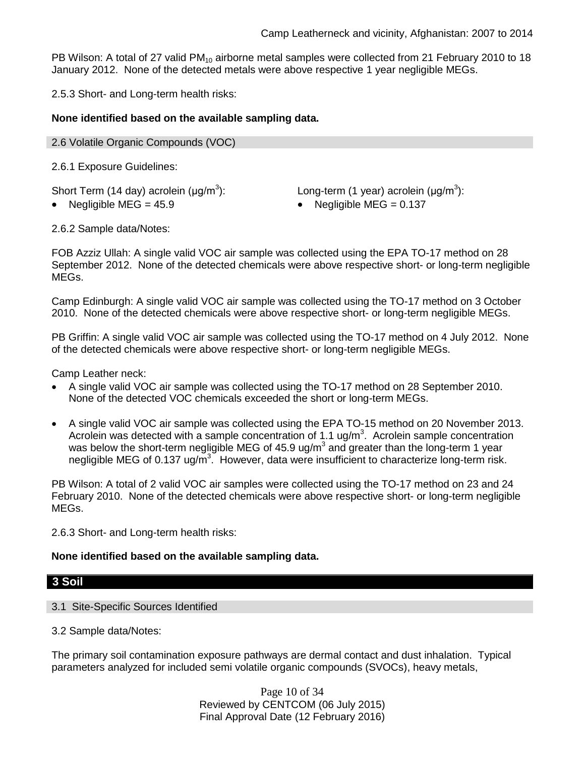PB Wilson: A total of 27 valid PM<sub>10</sub> airborne metal samples were collected from 21 February 2010 to 18 January 2012. None of the detected metals were above respective 1 year negligible MEGs.

2.5.3 Short- and Long-term health risks:

## **None identified based on the available sampling data.**

2.6 Volatile Organic Compounds (VOC)

2.6.1 Exposure Guidelines:

Short Term (14 day) acrolein  $(\mu q/m^3)$ :

): Long-term (1 year) acrolein ( $\mu$ g/m<sup>3</sup>):

Negligible MEG =  $45.9$  • Negligible MEG =  $0.137$ 

2.6.2 Sample data/Notes:

FOB Azziz Ullah: A single valid VOC air sample was collected using the EPA TO-17 method on 28 September 2012. None of the detected chemicals were above respective short- or long-term negligible MEGs.

Camp Edinburgh: A single valid VOC air sample was collected using the TO-17 method on 3 October 2010. None of the detected chemicals were above respective short- or long-term negligible MEGs.

PB Griffin: A single valid VOC air sample was collected using the TO-17 method on 4 July 2012. None of the detected chemicals were above respective short- or long-term negligible MEGs.

Camp Leather neck:

- A single valid VOC air sample was collected using the TO-17 method on 28 September 2010. None of the detected VOC chemicals exceeded the short or long-term MEGs.
- A single valid VOC air sample was collected using the EPA TO-15 method on 20 November 2013. Acrolein was detected with a sample concentration of 1.1 ug/m<sup>3</sup>. Acrolein sample concentration was below the short-term negligible MEG of 45.9 ug/m<sup>3</sup> and greater than the long-term 1 year negligible MEG of 0.137 ug/m<sup>3</sup>. However, data were insufficient to characterize long-term risk.

PB Wilson: A total of 2 valid VOC air samples were collected using the TO-17 method on 23 and 24 February 2010. None of the detected chemicals were above respective short- or long-term negligible MEGs.

2.6.3 Short- and Long-term health risks:

## **None identified based on the available sampling data.**

## **3 Soil**

#### 3.1 Site-Specific Sources Identified

3.2 Sample data/Notes:

The primary soil contamination exposure pathways are dermal contact and dust inhalation. Typical parameters analyzed for included semi volatile organic compounds (SVOCs), heavy metals,

> Page 10 of 34 Reviewed by CENTCOM (06 July 2015) Final Approval Date (12 February 2016)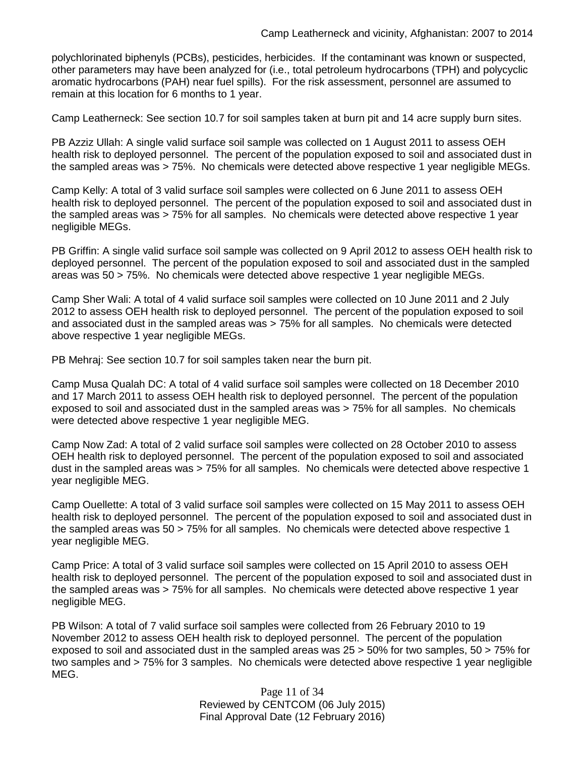polychlorinated biphenyls (PCBs), pesticides, herbicides. If the contaminant was known or suspected, other parameters may have been analyzed for (i.e., total petroleum hydrocarbons (TPH) and polycyclic aromatic hydrocarbons (PAH) near fuel spills). For the risk assessment, personnel are assumed to remain at this location for 6 months to 1 year.

Camp Leatherneck: See section 10.7 for soil samples taken at burn pit and 14 acre supply burn sites.

PB Azziz Ullah: A single valid surface soil sample was collected on 1 August 2011 to assess OEH health risk to deployed personnel. The percent of the population exposed to soil and associated dust in the sampled areas was > 75%. No chemicals were detected above respective 1 year negligible MEGs.

Camp Kelly: A total of 3 valid surface soil samples were collected on 6 June 2011 to assess OEH health risk to deployed personnel. The percent of the population exposed to soil and associated dust in the sampled areas was > 75% for all samples. No chemicals were detected above respective 1 year negligible MEGs.

PB Griffin: A single valid surface soil sample was collected on 9 April 2012 to assess OEH health risk to deployed personnel. The percent of the population exposed to soil and associated dust in the sampled areas was 50 > 75%. No chemicals were detected above respective 1 year negligible MEGs.

Camp Sher Wali: A total of 4 valid surface soil samples were collected on 10 June 2011 and 2 July 2012 to assess OEH health risk to deployed personnel. The percent of the population exposed to soil and associated dust in the sampled areas was > 75% for all samples. No chemicals were detected above respective 1 year negligible MEGs.

PB Mehraj: See section 10.7 for soil samples taken near the burn pit.

Camp Musa Qualah DC: A total of 4 valid surface soil samples were collected on 18 December 2010 and 17 March 2011 to assess OEH health risk to deployed personnel. The percent of the population exposed to soil and associated dust in the sampled areas was > 75% for all samples. No chemicals were detected above respective 1 year negligible MEG.

Camp Now Zad: A total of 2 valid surface soil samples were collected on 28 October 2010 to assess OEH health risk to deployed personnel. The percent of the population exposed to soil and associated dust in the sampled areas was > 75% for all samples. No chemicals were detected above respective 1 year negligible MEG.

Camp Ouellette: A total of 3 valid surface soil samples were collected on 15 May 2011 to assess OEH health risk to deployed personnel. The percent of the population exposed to soil and associated dust in the sampled areas was 50 > 75% for all samples. No chemicals were detected above respective 1 year negligible MEG.

Camp Price: A total of 3 valid surface soil samples were collected on 15 April 2010 to assess OEH health risk to deployed personnel. The percent of the population exposed to soil and associated dust in the sampled areas was > 75% for all samples. No chemicals were detected above respective 1 year negligible MEG.

PB Wilson: A total of 7 valid surface soil samples were collected from 26 February 2010 to 19 November 2012 to assess OEH health risk to deployed personnel. The percent of the population exposed to soil and associated dust in the sampled areas was 25 > 50% for two samples, 50 > 75% for two samples and > 75% for 3 samples. No chemicals were detected above respective 1 year negligible MEG.

> Page 11 of 34 Reviewed by CENTCOM (06 July 2015) Final Approval Date (12 February 2016)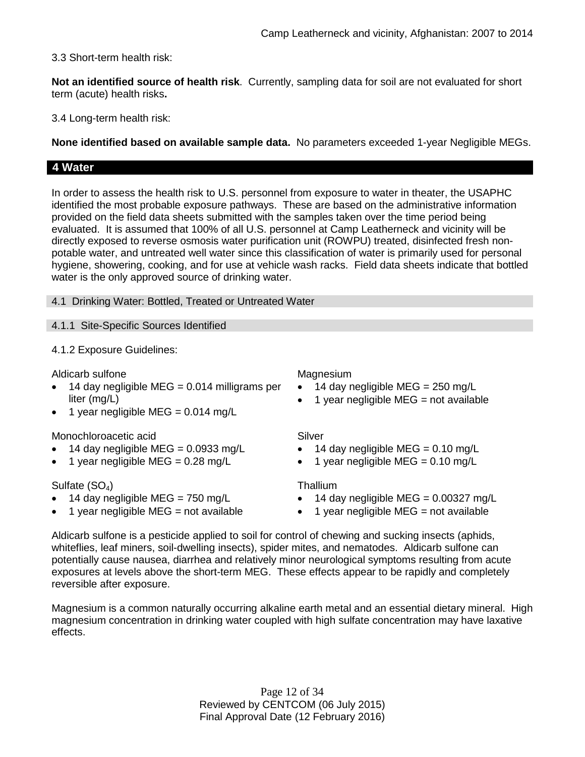3.3 Short-term health risk:

**Not an identified source of health risk**. Currently, sampling data for soil are not evaluated for short term (acute) health risks**.**

3.4 Long-term health risk:

**None identified based on available sample data.** No parameters exceeded 1-year Negligible MEGs.

## **4 Water**

In order to assess the health risk to U.S. personnel from exposure to water in theater, the USAPHC identified the most probable exposure pathways. These are based on the administrative information provided on the field data sheets submitted with the samples taken over the time period being evaluated. It is assumed that 100% of all U.S. personnel at Camp Leatherneck and vicinity will be directly exposed to reverse osmosis water purification unit (ROWPU) treated, disinfected fresh nonpotable water, and untreated well water since this classification of water is primarily used for personal hygiene, showering, cooking, and for use at vehicle wash racks. Field data sheets indicate that bottled water is the only approved source of drinking water.

4.1 Drinking Water: Bottled, Treated or Untreated Water

4.1.1 Site-Specific Sources Identified

4.1.2 Exposure Guidelines:

Aldicarb sulfone Magnesium

- 14 day negligible MEG =  $0.014$  milligrams per liter (mg/L)
- 1 year negligible MEG =  $0.014$  mg/L

## Monochloroacetic acid Silver

- 14 day negligible MEG =  $0.0933$  mg/L
- 1 year negligible MEG =  $0.28 \text{ mg/L}$

## Sulfate (SO<sub>4</sub>) Thallium

- 14 day negligible MEG =  $750 \text{ mg/L}$
- 1 year negligible  $MEG = not available$

- $\bullet$  14 day negligible MEG = 250 mg/L
- $\bullet$  1 year negligible MEG = not available

- 14 day negligible MEG =  $0.10 \text{ mg/L}$
- 1 year negligible MEG =  $0.10 \text{ mg/L}$

- $\bullet$  14 day negligible MEG = 0.00327 mg/L
- $\bullet$  1 year negligible MEG = not available

Aldicarb sulfone is a pesticide applied to soil for control of chewing and sucking insects (aphids, whiteflies, leaf miners, soil-dwelling insects), spider mites, and nematodes. Aldicarb sulfone can potentially cause nausea, diarrhea and relatively minor neurological symptoms resulting from acute exposures at levels above the short-term MEG. These effects appear to be rapidly and completely reversible after exposure.

Magnesium is a common naturally occurring alkaline earth metal and an essential dietary mineral. High magnesium concentration in drinking water coupled with high sulfate concentration may have laxative effects.

> Page 12 of 34 Reviewed by CENTCOM (06 July 2015) Final Approval Date (12 February 2016)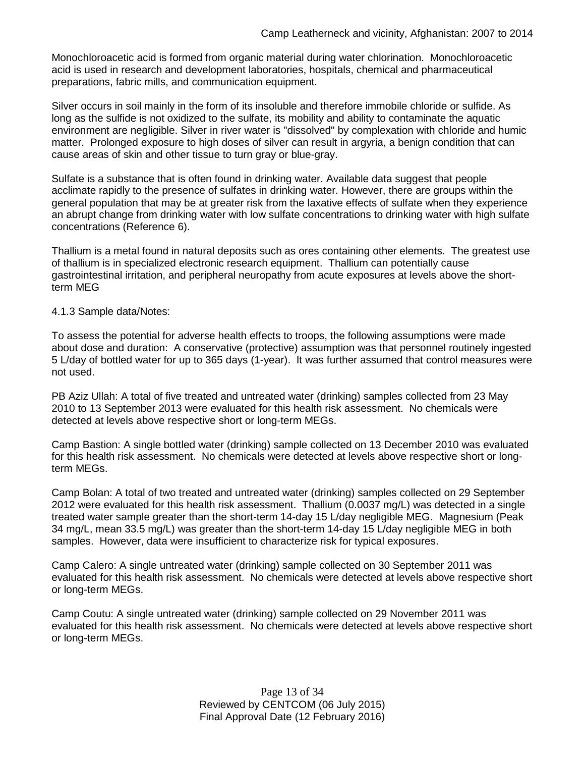Monochloroacetic acid is formed from organic material during water chlorination. Monochloroacetic acid is used in research and development laboratories, hospitals, chemical and pharmaceutical preparations, fabric mills, and communication equipment.

Silver occurs in soil mainly in the form of its insoluble and therefore immobile chloride or sulfide. As long as the sulfide is not oxidized to the sulfate, its mobility and ability to contaminate the aquatic environment are negligible. Silver in river water is "dissolved" by complexation with chloride and humic matter. Prolonged exposure to high doses of silver can result in argyria, a benign condition that can cause areas of skin and other tissue to turn gray or blue-gray.

Sulfate is a substance that is often found in drinking water. Available data suggest that people acclimate rapidly to the presence of sulfates in drinking water. However, there are groups within the general population that may be at greater risk from the laxative effects of sulfate when they experience an abrupt change from drinking water with low sulfate concentrations to drinking water with high sulfate concentrations (Reference 6).

Thallium is a metal found in natural deposits such as ores containing other elements. The greatest use of thallium is in specialized electronic research equipment. Thallium can potentially cause gastrointestinal irritation, and peripheral neuropathy from acute exposures at levels above the shortterm MEG

## 4.1.3 Sample data/Notes:

To assess the potential for adverse health effects to troops, the following assumptions were made about dose and duration: A conservative (protective) assumption was that personnel routinely ingested 5 L/day of bottled water for up to 365 days (1-year). It was further assumed that control measures were not used.

PB Aziz Ullah: A total of five treated and untreated water (drinking) samples collected from 23 May 2010 to 13 September 2013 were evaluated for this health risk assessment. No chemicals were detected at levels above respective short or long-term MEGs.

Camp Bastion: A single bottled water (drinking) sample collected on 13 December 2010 was evaluated for this health risk assessment. No chemicals were detected at levels above respective short or longterm MEGs.

Camp Bolan: A total of two treated and untreated water (drinking) samples collected on 29 September 2012 were evaluated for this health risk assessment. Thallium (0.0037 mg/L) was detected in a single treated water sample greater than the short-term 14-day 15 L/day negligible MEG. Magnesium (Peak 34 mg/L, mean 33.5 mg/L) was greater than the short-term 14-day 15 L/day negligible MEG in both samples. However, data were insufficient to characterize risk for typical exposures.

Camp Calero: A single untreated water (drinking) sample collected on 30 September 2011 was evaluated for this health risk assessment. No chemicals were detected at levels above respective short or long-term MEGs.

Camp Coutu: A single untreated water (drinking) sample collected on 29 November 2011 was evaluated for this health risk assessment. No chemicals were detected at levels above respective short or long-term MEGs.

> Page 13 of 34 Reviewed by CENTCOM (06 July 2015) Final Approval Date (12 February 2016)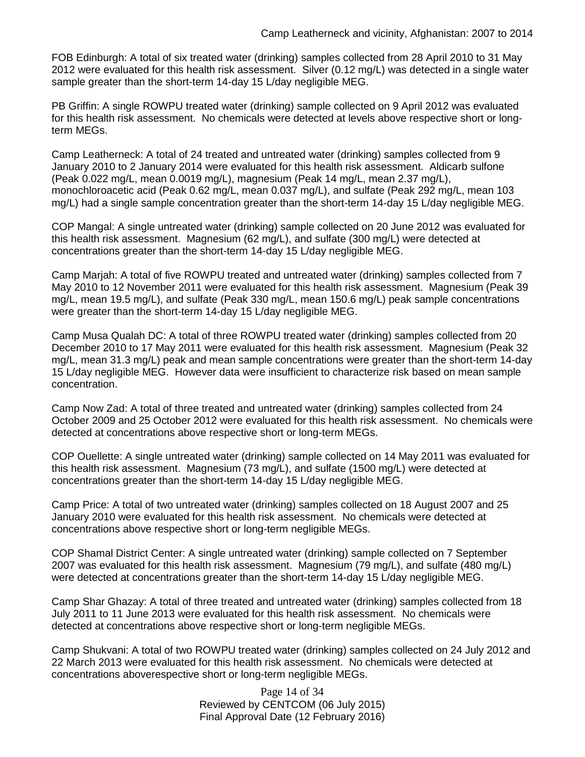FOB Edinburgh: A total of six treated water (drinking) samples collected from 28 April 2010 to 31 May 2012 were evaluated for this health risk assessment. Silver (0.12 mg/L) was detected in a single water sample greater than the short-term 14-day 15 L/day negligible MEG.

PB Griffin: A single ROWPU treated water (drinking) sample collected on 9 April 2012 was evaluated for this health risk assessment. No chemicals were detected at levels above respective short or longterm MEGs.

Camp Leatherneck: A total of 24 treated and untreated water (drinking) samples collected from 9 January 2010 to 2 January 2014 were evaluated for this health risk assessment. Aldicarb sulfone (Peak 0.022 mg/L, mean 0.0019 mg/L), magnesium (Peak 14 mg/L, mean 2.37 mg/L), monochloroacetic acid (Peak 0.62 mg/L, mean 0.037 mg/L), and sulfate (Peak 292 mg/L, mean 103 mg/L) had a single sample concentration greater than the short-term 14-day 15 L/day negligible MEG.

COP Mangal: A single untreated water (drinking) sample collected on 20 June 2012 was evaluated for this health risk assessment. Magnesium (62 mg/L), and sulfate (300 mg/L) were detected at concentrations greater than the short-term 14-day 15 L/day negligible MEG.

Camp Marjah: A total of five ROWPU treated and untreated water (drinking) samples collected from 7 May 2010 to 12 November 2011 were evaluated for this health risk assessment. Magnesium (Peak 39 mg/L, mean 19.5 mg/L), and sulfate (Peak 330 mg/L, mean 150.6 mg/L) peak sample concentrations were greater than the short-term 14-day 15 L/day negligible MEG.

Camp Musa Qualah DC: A total of three ROWPU treated water (drinking) samples collected from 20 December 2010 to 17 May 2011 were evaluated for this health risk assessment. Magnesium (Peak 32 mg/L, mean 31.3 mg/L) peak and mean sample concentrations were greater than the short-term 14-day 15 L/day negligible MEG. However data were insufficient to characterize risk based on mean sample concentration.

Camp Now Zad: A total of three treated and untreated water (drinking) samples collected from 24 October 2009 and 25 October 2012 were evaluated for this health risk assessment. No chemicals were detected at concentrations above respective short or long-term MEGs.

COP Ouellette: A single untreated water (drinking) sample collected on 14 May 2011 was evaluated for this health risk assessment. Magnesium (73 mg/L), and sulfate (1500 mg/L) were detected at concentrations greater than the short-term 14-day 15 L/day negligible MEG.

Camp Price: A total of two untreated water (drinking) samples collected on 18 August 2007 and 25 January 2010 were evaluated for this health risk assessment. No chemicals were detected at concentrations above respective short or long-term negligible MEGs.

COP Shamal District Center: A single untreated water (drinking) sample collected on 7 September 2007 was evaluated for this health risk assessment. Magnesium (79 mg/L), and sulfate (480 mg/L) were detected at concentrations greater than the short-term 14-day 15 L/day negligible MEG.

Camp Shar Ghazay: A total of three treated and untreated water (drinking) samples collected from 18 July 2011 to 11 June 2013 were evaluated for this health risk assessment. No chemicals were detected at concentrations above respective short or long-term negligible MEGs.

Camp Shukvani: A total of two ROWPU treated water (drinking) samples collected on 24 July 2012 and 22 March 2013 were evaluated for this health risk assessment. No chemicals were detected at concentrations aboverespective short or long-term negligible MEGs.

> Page 14 of 34 Reviewed by CENTCOM (06 July 2015) Final Approval Date (12 February 2016)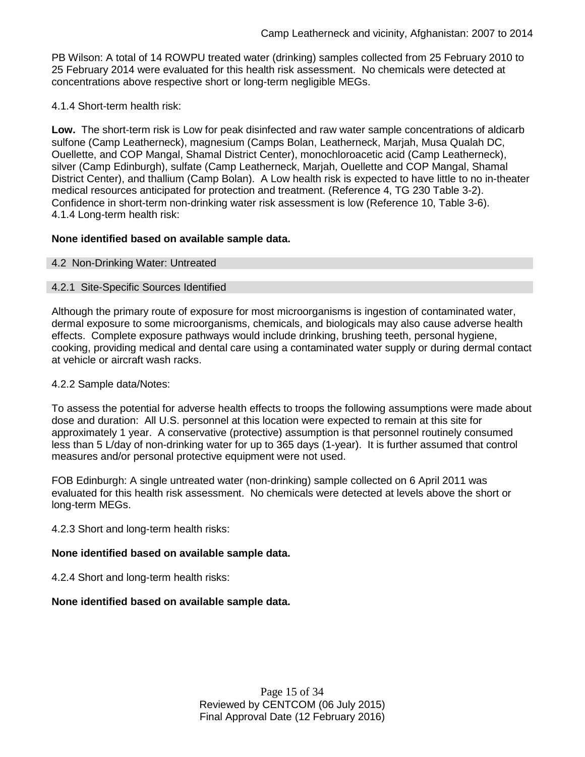PB Wilson: A total of 14 ROWPU treated water (drinking) samples collected from 25 February 2010 to 25 February 2014 were evaluated for this health risk assessment. No chemicals were detected at concentrations above respective short or long-term negligible MEGs.

4.1.4 Short-term health risk:

**Low.** The short-term risk is Low for peak disinfected and raw water sample concentrations of aldicarb sulfone (Camp Leatherneck), magnesium (Camps Bolan, Leatherneck, Marjah, Musa Qualah DC, Ouellette, and COP Mangal, Shamal District Center), monochloroacetic acid (Camp Leatherneck), silver (Camp Edinburgh), sulfate (Camp Leatherneck, Marjah, Ouellette and COP Mangal, Shamal District Center), and thallium (Camp Bolan). A Low health risk is expected to have little to no in-theater medical resources anticipated for protection and treatment. (Reference 4, TG 230 Table 3-2). Confidence in short-term non-drinking water risk assessment is low (Reference 10, Table 3-6). 4.1.4 Long-term health risk:

## **None identified based on available sample data.**

## 4.2 Non-Drinking Water: Untreated

## 4.2.1 Site-Specific Sources Identified

Although the primary route of exposure for most microorganisms is ingestion of contaminated water, dermal exposure to some microorganisms, chemicals, and biologicals may also cause adverse health effects. Complete exposure pathways would include drinking, brushing teeth, personal hygiene, cooking, providing medical and dental care using a contaminated water supply or during dermal contact at vehicle or aircraft wash racks.

#### 4.2.2 Sample data/Notes:

To assess the potential for adverse health effects to troops the following assumptions were made about dose and duration: All U.S. personnel at this location were expected to remain at this site for approximately 1 year. A conservative (protective) assumption is that personnel routinely consumed less than 5 L/day of non-drinking water for up to 365 days (1-year). It is further assumed that control measures and/or personal protective equipment were not used.

FOB Edinburgh: A single untreated water (non-drinking) sample collected on 6 April 2011 was evaluated for this health risk assessment. No chemicals were detected at levels above the short or long-term MEGs.

4.2.3 Short and long-term health risks:

## **None identified based on available sample data.**

4.2.4 Short and long-term health risks:

## **None identified based on available sample data.**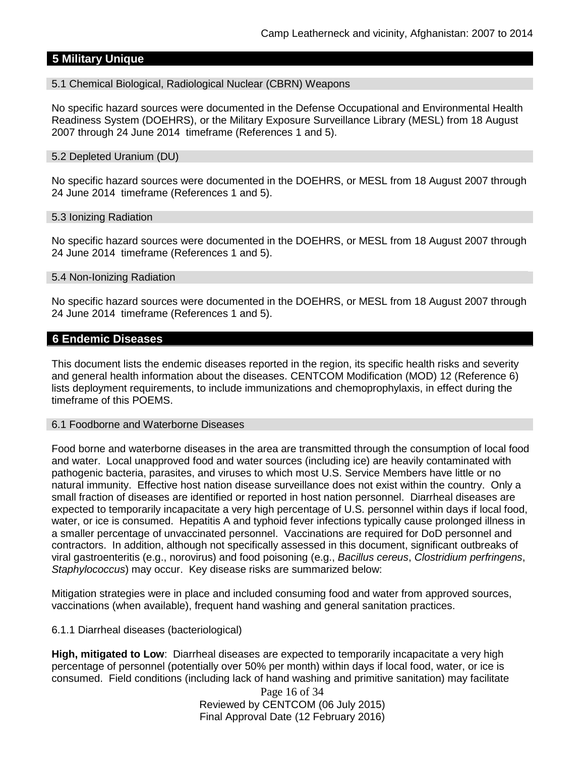## **5 Military Unique**

#### 5.1 Chemical Biological, Radiological Nuclear (CBRN) Weapons

No specific hazard sources were documented in the Defense Occupational and Environmental Health Readiness System (DOEHRS), or the Military Exposure Surveillance Library (MESL) from 18 August 2007 through 24 June 2014 timeframe (References 1 and 5).

#### 5.2 Depleted Uranium (DU)

No specific hazard sources were documented in the DOEHRS, or MESL from 18 August 2007 through 24 June 2014 timeframe (References 1 and 5).

#### 5.3 Ionizing Radiation

No specific hazard sources were documented in the DOEHRS, or MESL from 18 August 2007 through 24 June 2014 timeframe (References 1 and 5).

#### 5.4 Non-Ionizing Radiation

No specific hazard sources were documented in the DOEHRS, or MESL from 18 August 2007 through 24 June 2014 timeframe (References 1 and 5).

#### **6 Endemic Diseases**

This document lists the endemic diseases reported in the region, its specific health risks and severity and general health information about the diseases. CENTCOM Modification (MOD) 12 (Reference 6) lists deployment requirements, to include immunizations and chemoprophylaxis, in effect during the timeframe of this POEMS.

#### 6.1 Foodborne and Waterborne Diseases

Food borne and waterborne diseases in the area are transmitted through the consumption of local food and water. Local unapproved food and water sources (including ice) are heavily contaminated with pathogenic bacteria, parasites, and viruses to which most U.S. Service Members have little or no natural immunity. Effective host nation disease surveillance does not exist within the country. Only a small fraction of diseases are identified or reported in host nation personnel. Diarrheal diseases are expected to temporarily incapacitate a very high percentage of U.S. personnel within days if local food, water, or ice is consumed. Hepatitis A and typhoid fever infections typically cause prolonged illness in a smaller percentage of unvaccinated personnel. Vaccinations are required for DoD personnel and contractors. In addition, although not specifically assessed in this document, significant outbreaks of viral gastroenteritis (e.g., norovirus) and food poisoning (e.g., *Bacillus cereus*, *Clostridium perfringens*, *Staphylococcus*) may occur. Key disease risks are summarized below:

Mitigation strategies were in place and included consuming food and water from approved sources, vaccinations (when available), frequent hand washing and general sanitation practices.

#### 6.1.1 Diarrheal diseases (bacteriological)

**High, mitigated to Low**: Diarrheal diseases are expected to temporarily incapacitate a very high percentage of personnel (potentially over 50% per month) within days if local food, water, or ice is consumed. Field conditions (including lack of hand washing and primitive sanitation) may facilitate

> Page 16 of 34 Reviewed by CENTCOM (06 July 2015) Final Approval Date (12 February 2016)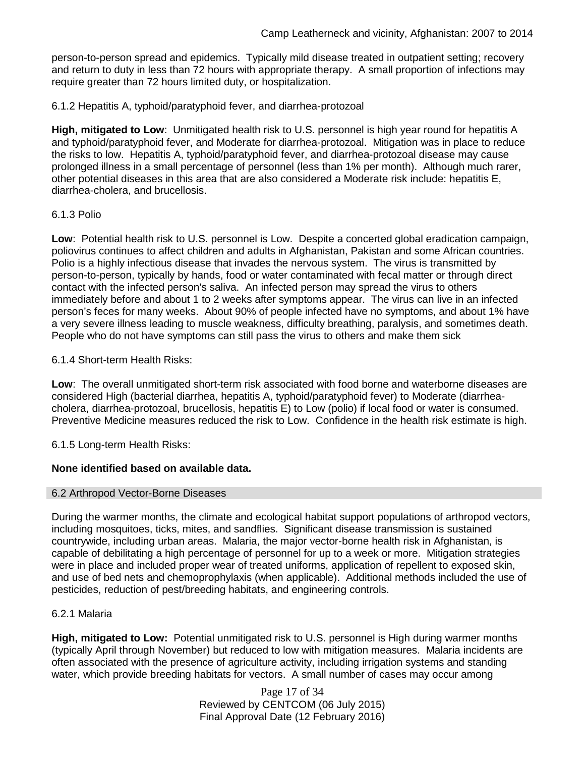person-to-person spread and epidemics. Typically mild disease treated in outpatient setting; recovery and return to duty in less than 72 hours with appropriate therapy. A small proportion of infections may require greater than 72 hours limited duty, or hospitalization.

6.1.2 Hepatitis A, typhoid/paratyphoid fever, and diarrhea-protozoal

**High, mitigated to Low**: Unmitigated health risk to U.S. personnel is high year round for hepatitis A and typhoid/paratyphoid fever, and Moderate for diarrhea-protozoal. Mitigation was in place to reduce the risks to low. Hepatitis A, typhoid/paratyphoid fever, and diarrhea-protozoal disease may cause prolonged illness in a small percentage of personnel (less than 1% per month). Although much rarer, other potential diseases in this area that are also considered a Moderate risk include: hepatitis E, diarrhea-cholera, and brucellosis.

## 6.1.3 Polio

**Low**: Potential health risk to U.S. personnel is Low. Despite a concerted global eradication campaign, poliovirus continues to affect children and adults in Afghanistan, Pakistan and some African countries. Polio is a highly infectious disease that invades the nervous system. The virus is transmitted by person-to-person, typically by hands, food or water contaminated with fecal matter or through direct contact with the infected person's saliva. An infected person may spread the virus to others immediately before and about 1 to 2 weeks after symptoms appear. The virus can live in an infected person's feces for many weeks. About 90% of people infected have no symptoms, and about 1% have a very severe illness leading to muscle weakness, difficulty breathing, paralysis, and sometimes death. People who do not have symptoms can still pass the virus to others and make them sick

## 6.1.4 Short-term Health Risks:

**Low**: The overall unmitigated short-term risk associated with food borne and waterborne diseases are considered High (bacterial diarrhea, hepatitis A, typhoid/paratyphoid fever) to Moderate (diarrheacholera, diarrhea-protozoal, brucellosis, hepatitis E) to Low (polio) if local food or water is consumed. Preventive Medicine measures reduced the risk to Low. Confidence in the health risk estimate is high.

6.1.5 Long-term Health Risks:

## **None identified based on available data.**

#### 6.2 Arthropod Vector-Borne Diseases

During the warmer months, the climate and ecological habitat support populations of arthropod vectors, including mosquitoes, ticks, mites, and sandflies. Significant disease transmission is sustained countrywide, including urban areas. Malaria, the major vector-borne health risk in Afghanistan, is capable of debilitating a high percentage of personnel for up to a week or more. Mitigation strategies were in place and included proper wear of treated uniforms, application of repellent to exposed skin, and use of bed nets and chemoprophylaxis (when applicable). Additional methods included the use of pesticides, reduction of pest/breeding habitats, and engineering controls.

#### 6.2.1 Malaria

**High, mitigated to Low:** Potential unmitigated risk to U.S. personnel is High during warmer months (typically April through November) but reduced to low with mitigation measures. Malaria incidents are often associated with the presence of agriculture activity, including irrigation systems and standing water, which provide breeding habitats for vectors. A small number of cases may occur among

> Page 17 of 34 Reviewed by CENTCOM (06 July 2015) Final Approval Date (12 February 2016)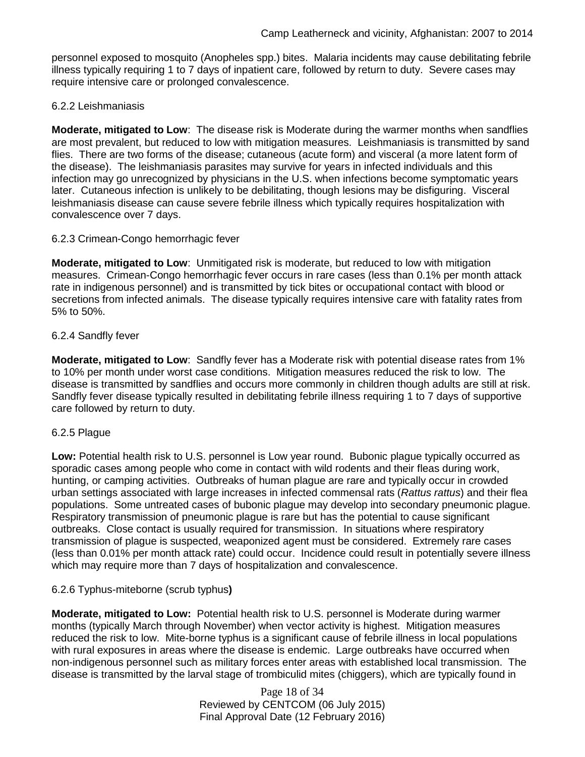personnel exposed to mosquito (Anopheles spp.) bites. Malaria incidents may cause debilitating febrile illness typically requiring 1 to 7 days of inpatient care, followed by return to duty. Severe cases may require intensive care or prolonged convalescence.

## 6.2.2 Leishmaniasis

**Moderate, mitigated to Low**: The disease risk is Moderate during the warmer months when sandflies are most prevalent, but reduced to low with mitigation measures. Leishmaniasis is transmitted by sand flies. There are two forms of the disease; cutaneous (acute form) and visceral (a more latent form of the disease). The leishmaniasis parasites may survive for years in infected individuals and this infection may go unrecognized by physicians in the U.S. when infections become symptomatic years later. Cutaneous infection is unlikely to be debilitating, though lesions may be disfiguring. Visceral leishmaniasis disease can cause severe febrile illness which typically requires hospitalization with convalescence over 7 days.

## 6.2.3 Crimean-Congo hemorrhagic fever

**Moderate, mitigated to Low**: Unmitigated risk is moderate, but reduced to low with mitigation measures. Crimean-Congo hemorrhagic fever occurs in rare cases (less than 0.1% per month attack rate in indigenous personnel) and is transmitted by tick bites or occupational contact with blood or secretions from infected animals. The disease typically requires intensive care with fatality rates from 5% to 50%.

## 6.2.4 Sandfly fever

**Moderate, mitigated to Low**: Sandfly fever has a Moderate risk with potential disease rates from 1% to 10% per month under worst case conditions. Mitigation measures reduced the risk to low. The disease is transmitted by sandflies and occurs more commonly in children though adults are still at risk. Sandfly fever disease typically resulted in debilitating febrile illness requiring 1 to 7 days of supportive care followed by return to duty.

## 6.2.5 Plague

**Low:** Potential health risk to U.S. personnel is Low year round. Bubonic plague typically occurred as sporadic cases among people who come in contact with wild rodents and their fleas during work, hunting, or camping activities. Outbreaks of human plague are rare and typically occur in crowded urban settings associated with large increases in infected commensal rats (*Rattus rattus*) and their flea populations. Some untreated cases of bubonic plague may develop into secondary pneumonic plague. Respiratory transmission of pneumonic plague is rare but has the potential to cause significant outbreaks. Close contact is usually required for transmission. In situations where respiratory transmission of plague is suspected, weaponized agent must be considered. Extremely rare cases (less than 0.01% per month attack rate) could occur. Incidence could result in potentially severe illness which may require more than 7 days of hospitalization and convalescence.

## 6.2.6 Typhus-miteborne (scrub typhus**)**

**Moderate, mitigated to Low:** Potential health risk to U.S. personnel is Moderate during warmer months (typically March through November) when vector activity is highest. Mitigation measures reduced the risk to low. Mite-borne typhus is a significant cause of febrile illness in local populations with rural exposures in areas where the disease is endemic. Large outbreaks have occurred when non-indigenous personnel such as military forces enter areas with established local transmission. The disease is transmitted by the larval stage of trombiculid mites (chiggers), which are typically found in

> Page 18 of 34 Reviewed by CENTCOM (06 July 2015) Final Approval Date (12 February 2016)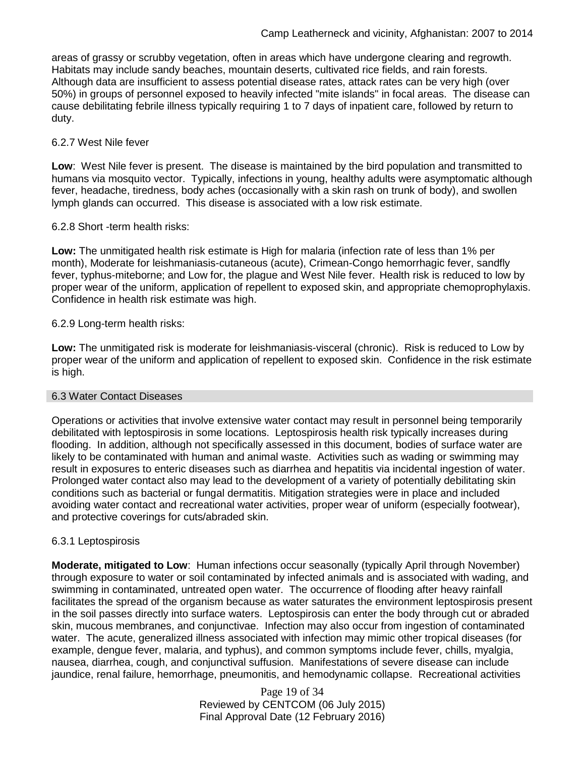areas of grassy or scrubby vegetation, often in areas which have undergone clearing and regrowth. Habitats may include sandy beaches, mountain deserts, cultivated rice fields, and rain forests. Although data are insufficient to assess potential disease rates, attack rates can be very high (over 50%) in groups of personnel exposed to heavily infected "mite islands" in focal areas. The disease can cause debilitating febrile illness typically requiring 1 to 7 days of inpatient care, followed by return to duty.

#### 6.2.7 West Nile fever

**Low**: West Nile fever is present. The disease is maintained by the bird population and transmitted to humans via mosquito vector. Typically, infections in young, healthy adults were asymptomatic although fever, headache, tiredness, body aches (occasionally with a skin rash on trunk of body), and swollen lymph glands can occurred. This disease is associated with a low risk estimate.

## 6.2.8 Short -term health risks:

**Low:** The unmitigated health risk estimate is High for malaria (infection rate of less than 1% per month), Moderate for leishmaniasis-cutaneous (acute), Crimean-Congo hemorrhagic fever, sandfly fever, typhus-miteborne; and Low for, the plague and West Nile fever. Health risk is reduced to low by proper wear of the uniform, application of repellent to exposed skin, and appropriate chemoprophylaxis. Confidence in health risk estimate was high.

## 6.2.9 Long-term health risks:

**Low:** The unmitigated risk is moderate for leishmaniasis-visceral (chronic). Risk is reduced to Low by proper wear of the uniform and application of repellent to exposed skin. Confidence in the risk estimate is high.

#### 6.3 Water Contact Diseases

Operations or activities that involve extensive water contact may result in personnel being temporarily debilitated with leptospirosis in some locations. Leptospirosis health risk typically increases during flooding. In addition, although not specifically assessed in this document, bodies of surface water are likely to be contaminated with human and animal waste. Activities such as wading or swimming may result in exposures to enteric diseases such as diarrhea and hepatitis via incidental ingestion of water. Prolonged water contact also may lead to the development of a variety of potentially debilitating skin conditions such as bacterial or fungal dermatitis. Mitigation strategies were in place and included avoiding water contact and recreational water activities, proper wear of uniform (especially footwear), and protective coverings for cuts/abraded skin.

## 6.3.1 Leptospirosis

**Moderate, mitigated to Low**: Human infections occur seasonally (typically April through November) through exposure to water or soil contaminated by infected animals and is associated with wading, and swimming in contaminated, untreated open water. The occurrence of flooding after heavy rainfall facilitates the spread of the organism because as water saturates the environment leptospirosis present in the soil passes directly into surface waters. Leptospirosis can enter the body through cut or abraded skin, mucous membranes, and conjunctivae. Infection may also occur from ingestion of contaminated water. The acute, generalized illness associated with infection may mimic other tropical diseases (for example, dengue fever, malaria, and typhus), and common symptoms include fever, chills, myalgia, nausea, diarrhea, cough, and conjunctival suffusion. Manifestations of severe disease can include jaundice, renal failure, hemorrhage, pneumonitis, and hemodynamic collapse. Recreational activities

> Page 19 of 34 Reviewed by CENTCOM (06 July 2015) Final Approval Date (12 February 2016)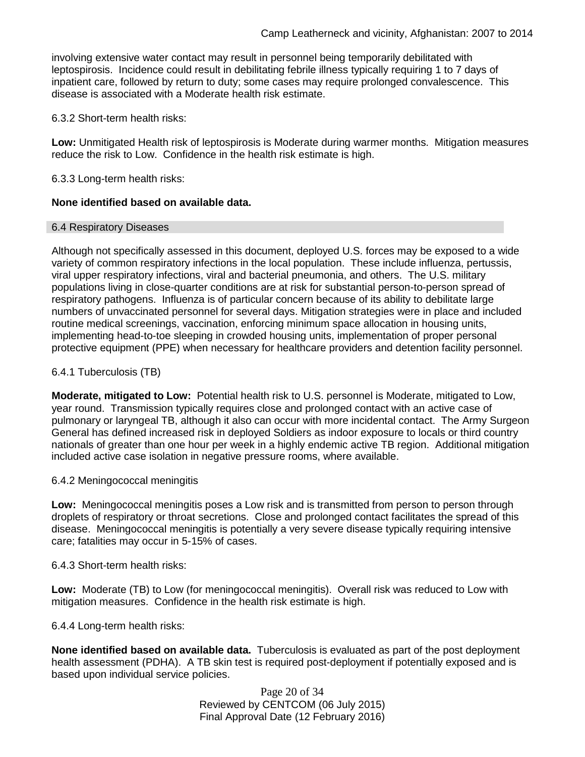involving extensive water contact may result in personnel being temporarily debilitated with leptospirosis. Incidence could result in debilitating febrile illness typically requiring 1 to 7 days of inpatient care, followed by return to duty; some cases may require prolonged convalescence. This disease is associated with a Moderate health risk estimate.

6.3.2 Short-term health risks:

**Low:** Unmitigated Health risk of leptospirosis is Moderate during warmer months. Mitigation measures reduce the risk to Low. Confidence in the health risk estimate is high.

6.3.3 Long-term health risks:

## **None identified based on available data.**

#### 6.4 Respiratory Diseases

Although not specifically assessed in this document, deployed U.S. forces may be exposed to a wide variety of common respiratory infections in the local population. These include influenza, pertussis, viral upper respiratory infections, viral and bacterial pneumonia, and others. The U.S. military populations living in close-quarter conditions are at risk for substantial person-to-person spread of respiratory pathogens. Influenza is of particular concern because of its ability to debilitate large numbers of unvaccinated personnel for several days. Mitigation strategies were in place and included routine medical screenings, vaccination, enforcing minimum space allocation in housing units, implementing head-to-toe sleeping in crowded housing units, implementation of proper personal protective equipment (PPE) when necessary for healthcare providers and detention facility personnel.

## 6.4.1 Tuberculosis (TB)

**Moderate, mitigated to Low:** Potential health risk to U.S. personnel is Moderate, mitigated to Low, year round. Transmission typically requires close and prolonged contact with an active case of pulmonary or laryngeal TB, although it also can occur with more incidental contact. The Army Surgeon General has defined increased risk in deployed Soldiers as indoor exposure to locals or third country nationals of greater than one hour per week in a highly endemic active TB region. Additional mitigation included active case isolation in negative pressure rooms, where available.

#### 6.4.2 Meningococcal meningitis

**Low:** Meningococcal meningitis poses a Low risk and is transmitted from person to person through droplets of respiratory or throat secretions. Close and prolonged contact facilitates the spread of this disease. Meningococcal meningitis is potentially a very severe disease typically requiring intensive care; fatalities may occur in 5-15% of cases.

6.4.3 Short-term health risks:

**Low:** Moderate (TB) to Low (for meningococcal meningitis). Overall risk was reduced to Low with mitigation measures. Confidence in the health risk estimate is high.

6.4.4 Long-term health risks:

**None identified based on available data.** Tuberculosis is evaluated as part of the post deployment health assessment (PDHA). A TB skin test is required post-deployment if potentially exposed and is based upon individual service policies.

> Page 20 of 34 Reviewed by CENTCOM (06 July 2015) Final Approval Date (12 February 2016)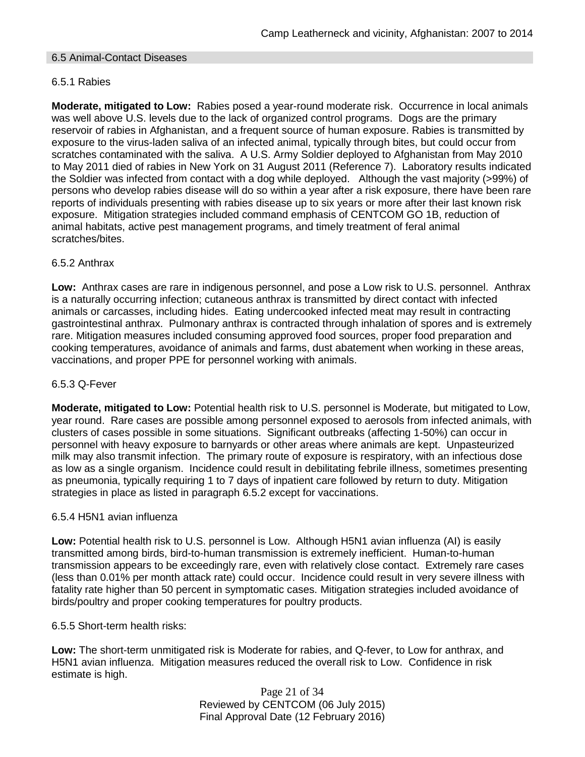## 6.5 Animal-Contact Diseases

## 6.5.1 Rabies

**Moderate, mitigated to Low:** Rabies posed a year-round moderate risk. Occurrence in local animals was well above U.S. levels due to the lack of organized control programs. Dogs are the primary reservoir of rabies in Afghanistan, and a frequent source of human exposure. Rabies is transmitted by exposure to the virus-laden saliva of an infected animal, typically through bites, but could occur from scratches contaminated with the saliva. A U.S. Army Soldier deployed to Afghanistan from May 2010 to May 2011 died of rabies in New York on 31 August 2011 (Reference 7). Laboratory results indicated the Soldier was infected from contact with a dog while deployed. Although the vast majority (>99%) of persons who develop rabies disease will do so within a year after a risk exposure, there have been rare reports of individuals presenting with rabies disease up to six years or more after their last known risk exposure. Mitigation strategies included command emphasis of CENTCOM GO 1B, reduction of animal habitats, active pest management programs, and timely treatment of feral animal scratches/bites.

## 6.5.2 Anthrax

**Low:** Anthrax cases are rare in indigenous personnel, and pose a Low risk to U.S. personnel. Anthrax is a naturally occurring infection; cutaneous anthrax is transmitted by direct contact with infected animals or carcasses, including hides. Eating undercooked infected meat may result in contracting gastrointestinal anthrax. Pulmonary anthrax is contracted through inhalation of spores and is extremely rare. Mitigation measures included consuming approved food sources, proper food preparation and cooking temperatures, avoidance of animals and farms, dust abatement when working in these areas, vaccinations, and proper PPE for personnel working with animals.

#### 6.5.3 Q-Fever

**Moderate, mitigated to Low:** Potential health risk to U.S. personnel is Moderate, but mitigated to Low, year round. Rare cases are possible among personnel exposed to aerosols from infected animals, with clusters of cases possible in some situations. Significant outbreaks (affecting 1-50%) can occur in personnel with heavy exposure to barnyards or other areas where animals are kept. Unpasteurized milk may also transmit infection. The primary route of exposure is respiratory, with an infectious dose as low as a single organism. Incidence could result in debilitating febrile illness, sometimes presenting as pneumonia, typically requiring 1 to 7 days of inpatient care followed by return to duty. Mitigation strategies in place as listed in paragraph 6.5.2 except for vaccinations.

#### 6.5.4 H5N1 avian influenza

**Low:** Potential health risk to U.S. personnel is Low. Although H5N1 avian influenza (AI) is easily transmitted among birds, bird-to-human transmission is extremely inefficient. Human-to-human transmission appears to be exceedingly rare, even with relatively close contact. Extremely rare cases (less than 0.01% per month attack rate) could occur. Incidence could result in very severe illness with fatality rate higher than 50 percent in symptomatic cases. Mitigation strategies included avoidance of birds/poultry and proper cooking temperatures for poultry products.

#### 6.5.5 Short-term health risks:

**Low:** The short-term unmitigated risk is Moderate for rabies, and Q-fever, to Low for anthrax, and H5N1 avian influenza. Mitigation measures reduced the overall risk to Low.Confidence in risk estimate is high.

> Page 21 of 34 Reviewed by CENTCOM (06 July 2015) Final Approval Date (12 February 2016)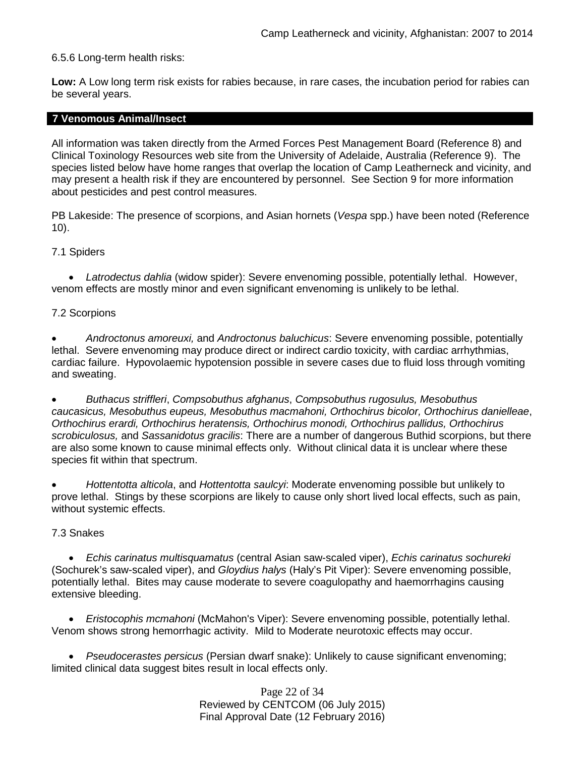## 6.5.6 Long-term health risks:

**Low:** A Low long term risk exists for rabies because, in rare cases, the incubation period for rabies can be several years.

#### **7 Venomous Animal/Insect**

All information was taken directly from the Armed Forces Pest Management Board (Reference 8) and Clinical Toxinology Resources web site from the University of Adelaide, Australia (Reference 9). The species listed below have home ranges that overlap the location of Camp Leatherneck and vicinity, and may present a health risk if they are encountered by personnel. See Section 9 for more information about pesticides and pest control measures.

PB Lakeside: The presence of scorpions, and Asian hornets (*Vespa* spp.) have been noted (Reference 10).

#### 7.1 Spiders

• *Latrodectus dahlia* (widow spider): Severe envenoming possible, potentially lethal. However, venom effects are mostly minor and even significant envenoming is unlikely to be lethal.

#### 7.2 Scorpions

• *Androctonus amoreuxi,* and *Androctonus baluchicus*: Severe envenoming possible, potentially lethal. Severe envenoming may produce direct or indirect cardio toxicity, with cardiac arrhythmias, cardiac failure. Hypovolaemic hypotension possible in severe cases due to fluid loss through vomiting and sweating.

• *Buthacus striffleri*, *Compsobuthus afghanus*, *Compsobuthus rugosulus, Mesobuthus caucasicus, Mesobuthus eupeus, Mesobuthus macmahoni, Orthochirus bicolor, Orthochirus danielleae*, *Orthochirus erardi, Orthochirus heratensis, Orthochirus monodi, Orthochirus pallidus, Orthochirus scrobiculosus,* and *Sassanidotus gracilis*: There are a number of dangerous Buthid scorpions, but there are also some known to cause minimal effects only. Without clinical data it is unclear where these species fit within that spectrum.

• *Hottentotta alticola*, and *Hottentotta saulcyi*: Moderate envenoming possible but unlikely to prove lethal. Stings by these scorpions are likely to cause only short lived local effects, such as pain, without systemic effects.

#### 7.3 Snakes

• *Echis carinatus multisquamatus* (central Asian saw-scaled viper), *Echis carinatus sochureki* (Sochurek's saw-scaled viper), and *Gloydius halys* (Haly's Pit Viper): Severe envenoming possible, potentially lethal. Bites may cause moderate to severe coagulopathy and haemorrhagins causing extensive bleeding.

• *Eristocophis mcmahoni* (McMahon's Viper): Severe envenoming possible, potentially lethal. Venom shows strong hemorrhagic activity. Mild to Moderate neurotoxic effects may occur.

• *Pseudocerastes persicus* (Persian dwarf snake): Unlikely to cause significant envenoming; limited clinical data suggest bites result in local effects only.

> Page 22 of 34 Reviewed by CENTCOM (06 July 2015) Final Approval Date (12 February 2016)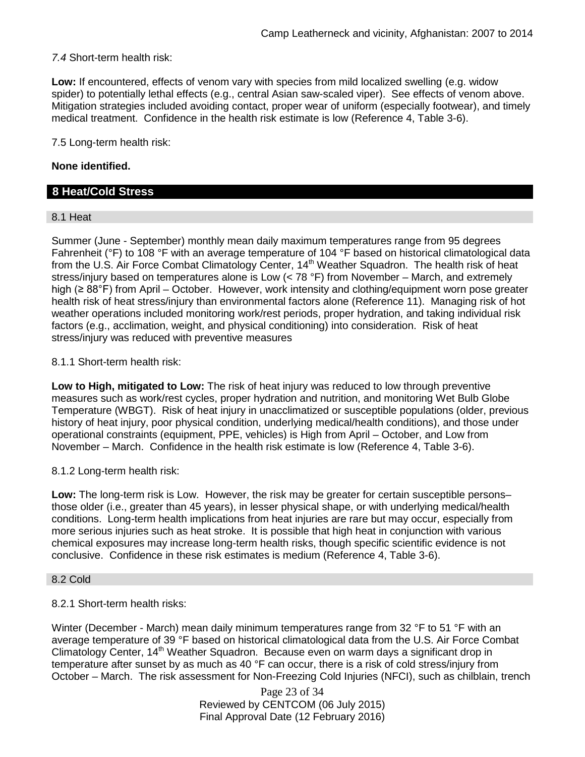*7.4* Short-term health risk:

**Low:** If encountered, effects of venom vary with species from mild localized swelling (e.g. widow spider) to potentially lethal effects (e.g., central Asian saw-scaled viper). See effects of venom above. Mitigation strategies included avoiding contact, proper wear of uniform (especially footwear), and timely medical treatment. Confidence in the health risk estimate is low (Reference 4, Table 3-6).

7.5 Long-term health risk:

## **None identified.**

## **8 Heat/Cold Stress**

#### 8.1 Heat

Summer (June - September) monthly mean daily maximum temperatures range from 95 degrees Fahrenheit (°F) to 108 °F with an average temperature of 104 °F based on historical climatological data from the U.S. Air Force Combat Climatology Center, 14<sup>th</sup> Weather Squadron. The health risk of heat stress/injury based on temperatures alone is Low (< 78 °F) from November – March, and extremely high (≥ 88°F) from April – October. However, work intensity and clothing/equipment worn pose greater health risk of heat stress/injury than environmental factors alone (Reference 11). Managing risk of hot weather operations included monitoring work/rest periods, proper hydration, and taking individual risk factors (e.g., acclimation, weight, and physical conditioning) into consideration. Risk of heat stress/injury was reduced with preventive measures

## 8.1.1 Short-term health risk:

**Low to High, mitigated to Low:** The risk of heat injury was reduced to low through preventive measures such as work/rest cycles, proper hydration and nutrition, and monitoring Wet Bulb Globe Temperature (WBGT). Risk of heat injury in unacclimatized or susceptible populations (older, previous history of heat injury, poor physical condition, underlying medical/health conditions), and those under operational constraints (equipment, PPE, vehicles) is High from April – October, and Low from November – March. Confidence in the health risk estimate is low (Reference 4, Table 3-6).

#### 8.1.2 Long-term health risk:

**Low:** The long-term risk is Low. However, the risk may be greater for certain susceptible persons– those older (i.e., greater than 45 years), in lesser physical shape, or with underlying medical/health conditions. Long-term health implications from heat injuries are rare but may occur, especially from more serious injuries such as heat stroke. It is possible that high heat in conjunction with various chemical exposures may increase long-term health risks, though specific scientific evidence is not conclusive. Confidence in these risk estimates is medium (Reference 4, Table 3-6).

#### 8.2 Cold

#### 8.2.1 Short-term health risks:

Winter (December - March) mean daily minimum temperatures range from 32 °F to 51 °F with an average temperature of 39 °F based on historical climatological data from the U.S. Air Force Combat Climatology Center, 14<sup>th</sup> Weather Squadron. Because even on warm days a significant drop in temperature after sunset by as much as 40 °F can occur, there is a risk of cold stress/injury from October – March. The risk assessment for Non-Freezing Cold Injuries (NFCI), such as chilblain, trench

> Page 23 of 34 Reviewed by CENTCOM (06 July 2015) Final Approval Date (12 February 2016)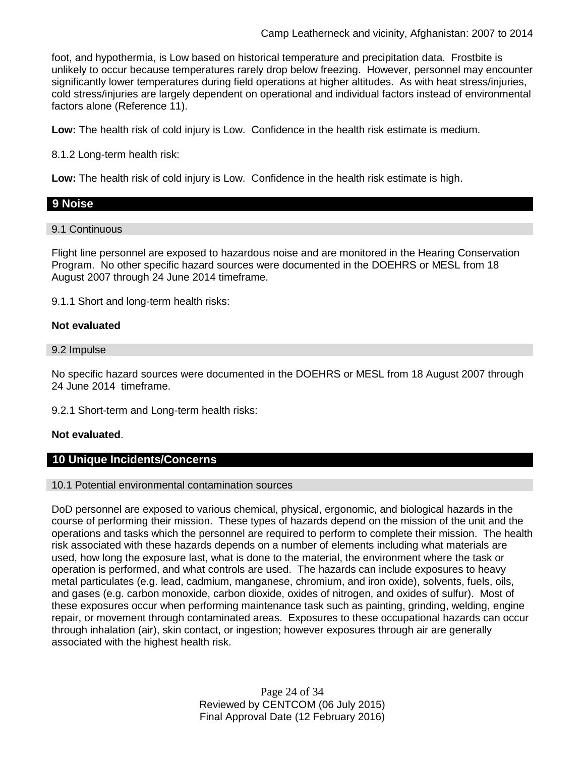foot, and hypothermia, is Low based on historical temperature and precipitation data. Frostbite is unlikely to occur because temperatures rarely drop below freezing. However, personnel may encounter significantly lower temperatures during field operations at higher altitudes. As with heat stress/injuries, cold stress/injuries are largely dependent on operational and individual factors instead of environmental factors alone (Reference 11).

**Low:** The health risk of cold injury is Low. Confidence in the health risk estimate is medium.

8.1.2 Long-term health risk:

**Low:** The health risk of cold injury is Low. Confidence in the health risk estimate is high.

# **9 Noise**

9.1 Continuous

Flight line personnel are exposed to hazardous noise and are monitored in the Hearing Conservation Program. No other specific hazard sources were documented in the DOEHRS or MESL from 18 August 2007 through 24 June 2014 timeframe.

9.1.1 Short and long-term health risks:

## **Not evaluated**

#### 9.2 Impulse

No specific hazard sources were documented in the DOEHRS or MESL from 18 August 2007 through 24 June 2014 timeframe.

9.2.1 Short-term and Long-term health risks:

## **Not evaluated**.

## **10 Unique Incidents/Concerns**

#### 10.1 Potential environmental contamination sources

DoD personnel are exposed to various chemical, physical, ergonomic, and biological hazards in the course of performing their mission. These types of hazards depend on the mission of the unit and the operations and tasks which the personnel are required to perform to complete their mission. The health risk associated with these hazards depends on a number of elements including what materials are used, how long the exposure last, what is done to the material, the environment where the task or operation is performed, and what controls are used. The hazards can include exposures to heavy metal particulates (e.g. lead, cadmium, manganese, chromium, and iron oxide), solvents, fuels, oils, and gases (e.g. carbon monoxide, carbon dioxide, oxides of nitrogen, and oxides of sulfur). Most of these exposures occur when performing maintenance task such as painting, grinding, welding, engine repair, or movement through contaminated areas. Exposures to these occupational hazards can occur through inhalation (air), skin contact, or ingestion; however exposures through air are generally associated with the highest health risk.

> Page 24 of 34 Reviewed by CENTCOM (06 July 2015) Final Approval Date (12 February 2016)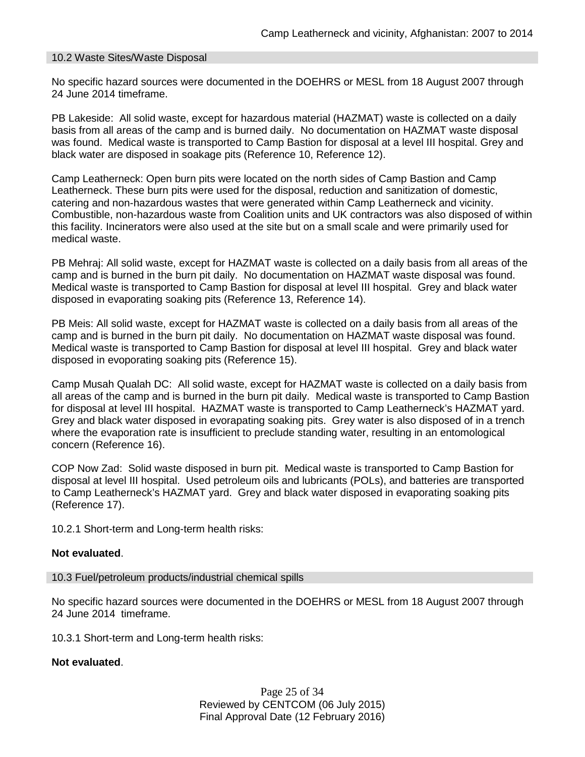#### 10.2 Waste Sites/Waste Disposal

No specific hazard sources were documented in the DOEHRS or MESL from 18 August 2007 through 24 June 2014 timeframe.

PB Lakeside: All solid waste, except for hazardous material (HAZMAT) waste is collected on a daily basis from all areas of the camp and is burned daily. No documentation on HAZMAT waste disposal was found. Medical waste is transported to Camp Bastion for disposal at a level III hospital. Grey and black water are disposed in soakage pits (Reference 10, Reference 12).

Camp Leatherneck: Open burn pits were located on the north sides of Camp Bastion and Camp Leatherneck. These burn pits were used for the disposal, reduction and sanitization of domestic, catering and non-hazardous wastes that were generated within Camp Leatherneck and vicinity. Combustible, non-hazardous waste from Coalition units and UK contractors was also disposed of within this facility. Incinerators were also used at the site but on a small scale and were primarily used for medical waste.

PB Mehraj: All solid waste, except for HAZMAT waste is collected on a daily basis from all areas of the camp and is burned in the burn pit daily. No documentation on HAZMAT waste disposal was found. Medical waste is transported to Camp Bastion for disposal at level III hospital. Grey and black water disposed in evaporating soaking pits (Reference 13, Reference 14).

PB Meis: All solid waste, except for HAZMAT waste is collected on a daily basis from all areas of the camp and is burned in the burn pit daily. No documentation on HAZMAT waste disposal was found. Medical waste is transported to Camp Bastion for disposal at level III hospital. Grey and black water disposed in evoporating soaking pits (Reference 15).

Camp Musah Qualah DC: All solid waste, except for HAZMAT waste is collected on a daily basis from all areas of the camp and is burned in the burn pit daily. Medical waste is transported to Camp Bastion for disposal at level III hospital. HAZMAT waste is transported to Camp Leatherneck's HAZMAT yard. Grey and black water disposed in evorapating soaking pits. Grey water is also disposed of in a trench where the evaporation rate is insufficient to preclude standing water, resulting in an entomological concern (Reference 16).

COP Now Zad: Solid waste disposed in burn pit. Medical waste is transported to Camp Bastion for disposal at level III hospital. Used petroleum oils and lubricants (POLs), and batteries are transported to Camp Leatherneck's HAZMAT yard. Grey and black water disposed in evaporating soaking pits (Reference 17).

10.2.1 Short-term and Long-term health risks:

#### **Not evaluated**.

10.3 Fuel/petroleum products/industrial chemical spills

No specific hazard sources were documented in the DOEHRS or MESL from 18 August 2007 through 24 June 2014 timeframe.

10.3.1 Short-term and Long-term health risks:

#### **Not evaluated**.

Page 25 of 34 Reviewed by CENTCOM (06 July 2015) Final Approval Date (12 February 2016)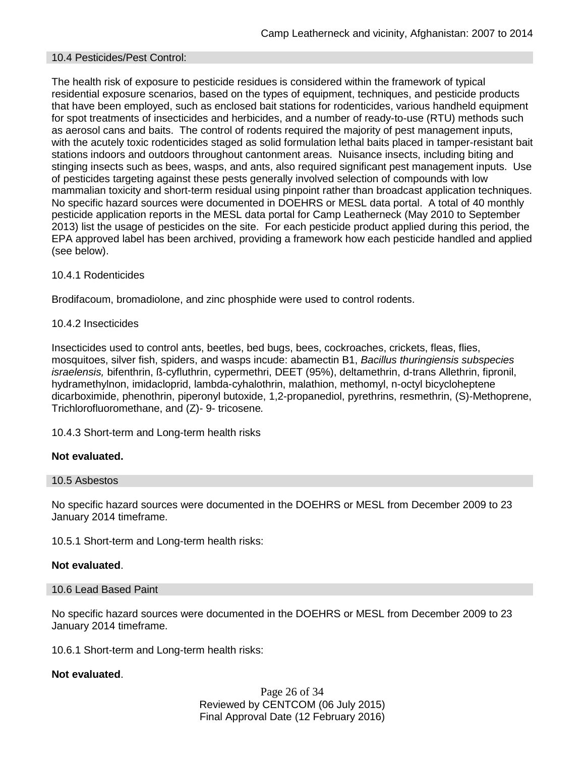#### 10.4 Pesticides/Pest Control:

The health risk of exposure to pesticide residues is considered within the framework of typical residential exposure scenarios, based on the types of equipment, techniques, and pesticide products that have been employed, such as enclosed bait stations for rodenticides, various handheld equipment for spot treatments of insecticides and herbicides, and a number of ready-to-use (RTU) methods such as aerosol cans and baits. The control of rodents required the majority of pest management inputs, with the acutely toxic rodenticides staged as solid formulation lethal baits placed in tamper-resistant bait stations indoors and outdoors throughout cantonment areas. Nuisance insects, including biting and stinging insects such as bees, wasps, and ants, also required significant pest management inputs. Use of pesticides targeting against these pests generally involved selection of compounds with low mammalian toxicity and short-term residual using pinpoint rather than broadcast application techniques. No specific hazard sources were documented in DOEHRS or MESL data portal. A total of 40 monthly pesticide application reports in the MESL data portal for Camp Leatherneck (May 2010 to September 2013) list the usage of pesticides on the site. For each pesticide product applied during this period, the EPA approved label has been archived, providing a framework how each pesticide handled and applied (see below).

## 10.4.1 Rodenticides

Brodifacoum, bromadiolone, and zinc phosphide were used to control rodents.

## 10.4.2 Insecticides

Insecticides used to control ants, beetles, bed bugs, bees, cockroaches, crickets, fleas, flies, mosquitoes, silver fish, spiders, and wasps incude: abamectin B1, *Bacillus thuringiensis subspecies israelensis,* bifenthrin, ß-cyfluthrin, cypermethri, DEET (95%), deltamethrin, d-trans Allethrin, fipronil, hydramethylnon, imidacloprid, lambda-cyhalothrin, malathion, methomyl, n-octyl bicycloheptene dicarboximide, phenothrin, piperonyl butoxide, 1,2-propanediol, pyrethrins, resmethrin, (S)-Methoprene, Trichlorofluoromethane, and (Z)- 9- tricosene*.*

10.4.3 Short-term and Long-term health risks

## **Not evaluated.**

#### 10.5 Asbestos

No specific hazard sources were documented in the DOEHRS or MESL from December 2009 to 23 January 2014 timeframe.

10.5.1 Short-term and Long-term health risks:

#### **Not evaluated**.

#### 10.6 Lead Based Paint

No specific hazard sources were documented in the DOEHRS or MESL from December 2009 to 23 January 2014 timeframe.

10.6.1 Short-term and Long-term health risks:

## **Not evaluated**.

Page 26 of 34 Reviewed by CENTCOM (06 July 2015) Final Approval Date (12 February 2016)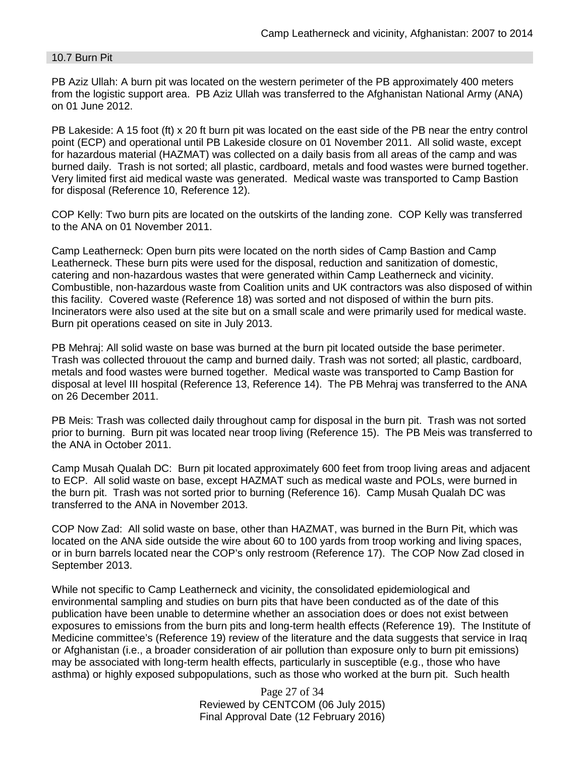#### 10.7 Burn Pit

PB Aziz Ullah: A burn pit was located on the western perimeter of the PB approximately 400 meters from the logistic support area. PB Aziz Ullah was transferred to the Afghanistan National Army (ANA) on 01 June 2012.

PB Lakeside: A 15 foot (ft) x 20 ft burn pit was located on the east side of the PB near the entry control point (ECP) and operational until PB Lakeside closure on 01 November 2011. All solid waste, except for hazardous material (HAZMAT) was collected on a daily basis from all areas of the camp and was burned daily. Trash is not sorted; all plastic, cardboard, metals and food wastes were burned together. Very limited first aid medical waste was generated. Medical waste was transported to Camp Bastion for disposal (Reference 10, Reference 12).

COP Kelly: Two burn pits are located on the outskirts of the landing zone. COP Kelly was transferred to the ANA on 01 November 2011.

Camp Leatherneck: Open burn pits were located on the north sides of Camp Bastion and Camp Leatherneck. These burn pits were used for the disposal, reduction and sanitization of domestic, catering and non-hazardous wastes that were generated within Camp Leatherneck and vicinity. Combustible, non-hazardous waste from Coalition units and UK contractors was also disposed of within this facility. Covered waste (Reference 18) was sorted and not disposed of within the burn pits. Incinerators were also used at the site but on a small scale and were primarily used for medical waste. Burn pit operations ceased on site in July 2013.

PB Mehraj: All solid waste on base was burned at the burn pit located outside the base perimeter. Trash was collected throuout the camp and burned daily. Trash was not sorted; all plastic, cardboard, metals and food wastes were burned together. Medical waste was transported to Camp Bastion for disposal at level III hospital (Reference 13, Reference 14). The PB Mehraj was transferred to the ANA on 26 December 2011.

PB Meis: Trash was collected daily throughout camp for disposal in the burn pit. Trash was not sorted prior to burning. Burn pit was located near troop living (Reference 15). The PB Meis was transferred to the ANA in October 2011.

Camp Musah Qualah DC: Burn pit located approximately 600 feet from troop living areas and adjacent to ECP. All solid waste on base, except HAZMAT such as medical waste and POLs, were burned in the burn pit. Trash was not sorted prior to burning (Reference 16). Camp Musah Qualah DC was transferred to the ANA in November 2013.

COP Now Zad: All solid waste on base, other than HAZMAT, was burned in the Burn Pit, which was located on the ANA side outside the wire about 60 to 100 yards from troop working and living spaces, or in burn barrels located near the COP's only restroom (Reference 17). The COP Now Zad closed in September 2013.

While not specific to Camp Leatherneck and vicinity, the consolidated epidemiological and environmental sampling and studies on burn pits that have been conducted as of the date of this publication have been unable to determine whether an association does or does not exist between exposures to emissions from the burn pits and long-term health effects (Reference 19). The Institute of Medicine committee's (Reference 19) review of the literature and the data suggests that service in Iraq or Afghanistan (i.e., a broader consideration of air pollution than exposure only to burn pit emissions) may be associated with long-term health effects, particularly in susceptible (e.g., those who have asthma) or highly exposed subpopulations, such as those who worked at the burn pit. Such health

> Page 27 of 34 Reviewed by CENTCOM (06 July 2015) Final Approval Date (12 February 2016)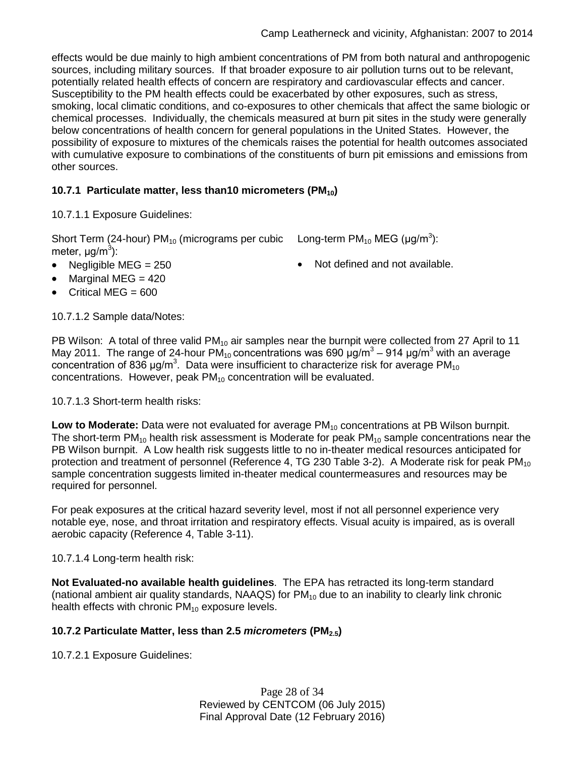effects would be due mainly to high ambient concentrations of PM from both natural and anthropogenic sources, including military sources. If that broader exposure to air pollution turns out to be relevant, potentially related health effects of concern are respiratory and cardiovascular effects and cancer. Susceptibility to the PM health effects could be exacerbated by other exposures, such as stress, smoking, local climatic conditions, and co-exposures to other chemicals that affect the same biologic or chemical processes. Individually, the chemicals measured at burn pit sites in the study were generally below concentrations of health concern for general populations in the United States. However, the possibility of exposure to mixtures of the chemicals raises the potential for health outcomes associated with cumulative exposure to combinations of the constituents of burn pit emissions and emissions from other sources.

## **10.7.1 Particulate matter, less than10 micrometers (PM10)**

10.7.1.1 Exposure Guidelines:

Short Term (24-hour) PM<sub>10</sub> (micrograms per cubic Long-term PM<sub>10</sub> MEG (µg/m<sup>3</sup>): meter, μg/m<sup>3</sup>):

- Negligible MEG = 250 **•** Not defined and not available.
- Marginal MEG  $= 420$
- Critical MEG  $= 600$

10.7.1.2 Sample data/Notes:

PB Wilson: A total of three valid PM<sub>10</sub> air samples near the burnpit were collected from 27 April to 11 May 2011. The range of 24-hour PM<sub>10</sub> concentrations was 690  $\mu q/m^3$  – 914  $\mu q/m^3$  with an average concentration of 836 μg/m<sup>3</sup>. Data were insufficient to characterize risk for average PM<sub>10</sub> concentrations. However, peak  $PM_{10}$  concentration will be evaluated.

## 10.7.1.3 Short-term health risks:

Low to Moderate: Data were not evaluated for average PM<sub>10</sub> concentrations at PB Wilson burnpit. The short-term PM<sub>10</sub> health risk assessment is Moderate for peak PM<sub>10</sub> sample concentrations near the PB Wilson burnpit. A Low health risk suggests little to no in-theater medical resources anticipated for protection and treatment of personnel (Reference 4, TG 230 Table 3-2). A Moderate risk for peak  $PM_{10}$ sample concentration suggests limited in-theater medical countermeasures and resources may be required for personnel.

For peak exposures at the critical hazard severity level, most if not all personnel experience very notable eye, nose, and throat irritation and respiratory effects. Visual acuity is impaired, as is overall aerobic capacity (Reference 4, Table 3-11).

10.7.1.4 Long-term health risk:

**Not Evaluated-no available health guidelines**. The EPA has retracted its long-term standard (national ambient air quality standards,  $NAAGS$ ) for  $PM_{10}$  due to an inability to clearly link chronic health effects with chronic  $PM_{10}$  exposure levels.

## **10.7.2 Particulate Matter, less than 2.5** *micrometers* **(PM2.5)**

10.7.2.1 Exposure Guidelines:

Page 28 of 34 Reviewed by CENTCOM (06 July 2015) Final Approval Date (12 February 2016)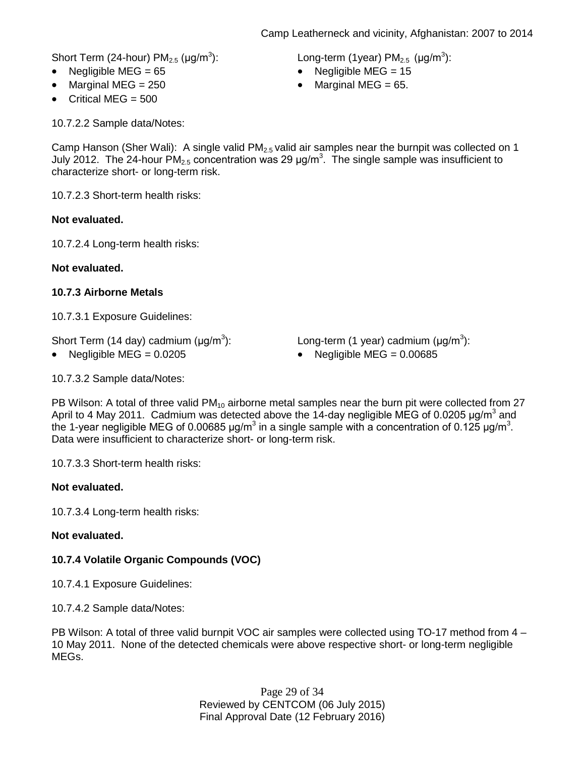Short Term (24-hour)  $PM<sub>2.5</sub>$  ( $\mu$ g/m<sup>3</sup>): ): Long-term (1year) PM<sub>2.5</sub> (µg/m<sup>3</sup>):

- Negligible MEG = 65 Negligible MEG = 15
- Marginal MEG =  $250$  Marginal MEG =  $65$ .
- Critical MEG  $= 500$

10.7.2.2 Sample data/Notes:

Camp Hanson (Sher Wali): A single valid PM<sub>2.5</sub> valid air samples near the burnpit was collected on 1 July 2012. The 24-hour PM<sub>2.5</sub> concentration was 29  $\mu$ g/m<sup>3</sup>. The single sample was insufficient to characterize short- or long-term risk.

10.7.2.3 Short-term health risks:

## **Not evaluated.**

10.7.2.4 Long-term health risks:

**Not evaluated.**

## **10.7.3 Airborne Metals**

10.7.3.1 Exposure Guidelines:

Short Term (14 day) cadmium  $(\mu q/m^3)$ :

): Long-term (1 year) cadmium ( $\mu$ g/m<sup>3</sup>):

• Negligible MEG = 0.0205 • Negligible MEG = 0.00685

10.7.3.2 Sample data/Notes:

PB Wilson: A total of three valid  $PM_{10}$  airborne metal samples near the burn pit were collected from 27 April to 4 May 2011. Cadmium was detected above the 14-day negligible MEG of 0.0205  $\mu$ g/m<sup>3</sup> and the 1-year negligible MEG of 0.00685 μg/m<sup>3</sup> in a single sample with a concentration of 0.125 μg/m<sup>3</sup>. Data were insufficient to characterize short- or long-term risk.

10.7.3.3 Short-term health risks:

## **Not evaluated.**

10.7.3.4 Long-term health risks:

## **Not evaluated.**

## **10.7.4 Volatile Organic Compounds (VOC)**

10.7.4.1 Exposure Guidelines:

10.7.4.2 Sample data/Notes:

PB Wilson: A total of three valid burnpit VOC air samples were collected using TO-17 method from 4 – 10 May 2011. None of the detected chemicals were above respective short- or long-term negligible MEGs.

> Page 29 of 34 Reviewed by CENTCOM (06 July 2015) Final Approval Date (12 February 2016)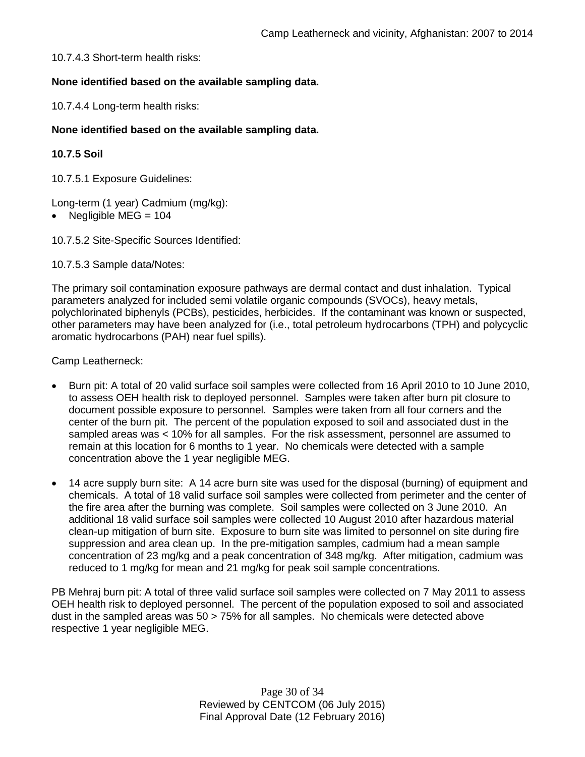10.7.4.3 Short-term health risks:

## **None identified based on the available sampling data.**

10.7.4.4 Long-term health risks:

## **None identified based on the available sampling data.**

## **10.7.5 Soil**

10.7.5.1 Exposure Guidelines:

Long-term (1 year) Cadmium (mg/kg):

- Negligible MEG = 104
- 10.7.5.2 Site-Specific Sources Identified:

10.7.5.3 Sample data/Notes:

The primary soil contamination exposure pathways are dermal contact and dust inhalation. Typical parameters analyzed for included semi volatile organic compounds (SVOCs), heavy metals, polychlorinated biphenyls (PCBs), pesticides, herbicides. If the contaminant was known or suspected, other parameters may have been analyzed for (i.e., total petroleum hydrocarbons (TPH) and polycyclic aromatic hydrocarbons (PAH) near fuel spills).

Camp Leatherneck:

- Burn pit: A total of 20 valid surface soil samples were collected from 16 April 2010 to 10 June 2010, to assess OEH health risk to deployed personnel. Samples were taken after burn pit closure to document possible exposure to personnel. Samples were taken from all four corners and the center of the burn pit. The percent of the population exposed to soil and associated dust in the sampled areas was < 10% for all samples. For the risk assessment, personnel are assumed to remain at this location for 6 months to 1 year. No chemicals were detected with a sample concentration above the 1 year negligible MEG.
- 14 acre supply burn site: A 14 acre burn site was used for the disposal (burning) of equipment and chemicals. A total of 18 valid surface soil samples were collected from perimeter and the center of the fire area after the burning was complete. Soil samples were collected on 3 June 2010. An additional 18 valid surface soil samples were collected 10 August 2010 after hazardous material clean-up mitigation of burn site. Exposure to burn site was limited to personnel on site during fire suppression and area clean up. In the pre-mitigation samples, cadmium had a mean sample concentration of 23 mg/kg and a peak concentration of 348 mg/kg. After mitigation, cadmium was reduced to 1 mg/kg for mean and 21 mg/kg for peak soil sample concentrations.

PB Mehraj burn pit: A total of three valid surface soil samples were collected on 7 May 2011 to assess OEH health risk to deployed personnel. The percent of the population exposed to soil and associated dust in the sampled areas was 50 > 75% for all samples. No chemicals were detected above respective 1 year negligible MEG.

> Page 30 of 34 Reviewed by CENTCOM (06 July 2015) Final Approval Date (12 February 2016)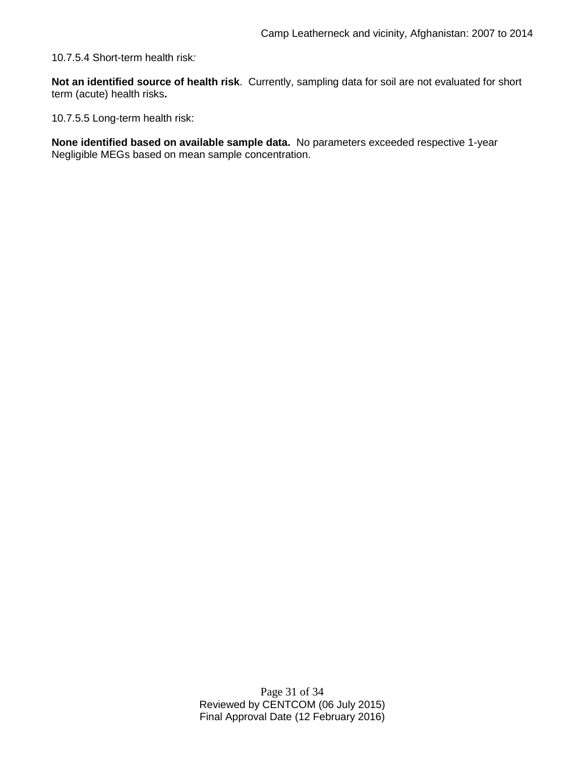10.7.5.4 Short-term health risk*:*

**Not an identified source of health risk**. Currently, sampling data for soil are not evaluated for short term (acute) health risks**.**

10.7.5.5 Long-term health risk:

**None identified based on available sample data.** No parameters exceeded respective 1-year Negligible MEGs based on mean sample concentration.

> Page 31 of 34 Reviewed by CENTCOM (06 July 2015) Final Approval Date (12 February 2016)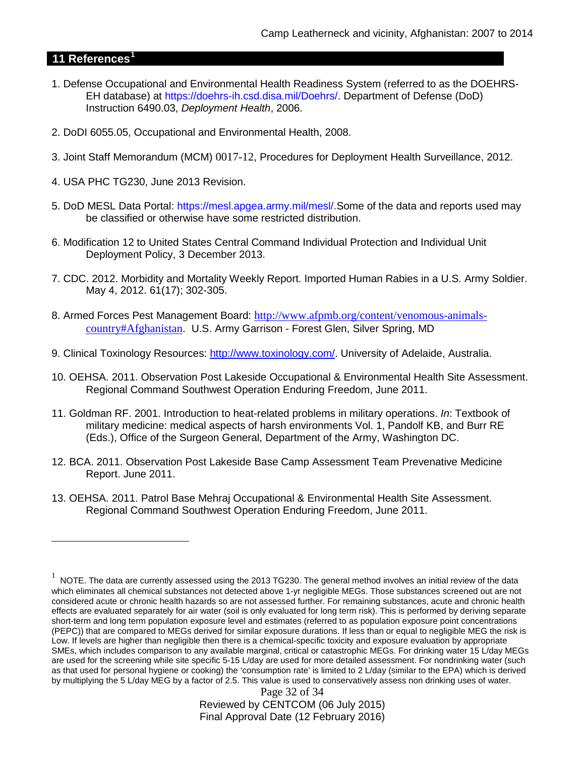## **11 References[1](#page-31-0)**

 $\overline{a}$ 

- 1. Defense Occupational and Environmental Health Readiness System (referred to as the DOEHRS-EH database) at https://doehrs-ih.csd.disa.mil/Doehrs/. Department of Defense (DoD) Instruction 6490.03, *Deployment Health*, 2006.
- 2. DoDI 6055.05, Occupational and Environmental Health, 2008.
- 3. Joint Staff Memorandum (MCM) 0017-12, Procedures for Deployment Health Surveillance, 2012.
- 4. USA PHC TG230, June 2013 Revision.
- 5. DoD MESL Data Portal: https://mesl.apgea.army.mil/mesl/.Some of the data and reports used may be classified or otherwise have some restricted distribution.
- 6. Modification 12 to United States Central Command Individual Protection and Individual Unit Deployment Policy, 3 December 2013.
- 7. CDC. 2012. Morbidity and Mortality Weekly Report. Imported Human Rabies in a U.S. Army Soldier. May 4, 2012. 61(17); 302-305.
- 8. Armed Forces Pest Management Board: [http://www.afpmb.org/content/venomous-animals](http://www.afpmb.org/content/venomous-animals-country#Afghanistan)[country#Afghanistan](http://www.afpmb.org/content/venomous-animals-country#Afghanistan). U.S. Army Garrison - Forest Glen, Silver Spring, MD
- 9. Clinical Toxinology Resources: [http://www.toxinology.com/.](http://www.toxinology.com/) University of Adelaide, Australia.
- 10. OEHSA. 2011. Observation Post Lakeside Occupational & Environmental Health Site Assessment. Regional Command Southwest Operation Enduring Freedom, June 2011.
- 11. Goldman RF. 2001. Introduction to heat-related problems in military operations. *In*: Textbook of military medicine: medical aspects of harsh environments Vol. 1, Pandolf KB, and Burr RE (Eds.), Office of the Surgeon General, Department of the Army, Washington DC.
- 12. BCA. 2011. Observation Post Lakeside Base Camp Assessment Team Prevenative Medicine Report. June 2011.
- 13. OEHSA. 2011. Patrol Base Mehraj Occupational & Environmental Health Site Assessment. Regional Command Southwest Operation Enduring Freedom, June 2011.

<span id="page-31-0"></span> $1$  NOTE. The data are currently assessed using the 2013 TG230. The general method involves an initial review of the data which eliminates all chemical substances not detected above 1-yr negligible MEGs. Those substances screened out are not considered acute or chronic health hazards so are not assessed further. For remaining substances, acute and chronic health effects are evaluated separately for air water (soil is only evaluated for long term risk). This is performed by deriving separate short-term and long term population exposure level and estimates (referred to as population exposure point concentrations (PEPC)) that are compared to MEGs derived for similar exposure durations. If less than or equal to negligible MEG the risk is Low. If levels are higher than negligible then there is a chemical-specific toxicity and exposure evaluation by appropriate SMEs, which includes comparison to any available marginal, critical or catastrophic MEGs. For drinking water 15 L/day MEGs are used for the screening while site specific 5-15 L/day are used for more detailed assessment. For nondrinking water (such as that used for personal hygiene or cooking) the 'consumption rate' is limited to 2 L/day (similar to the EPA) which is derived by multiplying the 5 L/day MEG by a factor of 2.5. This value is used to conservatively assess non drinking uses of water.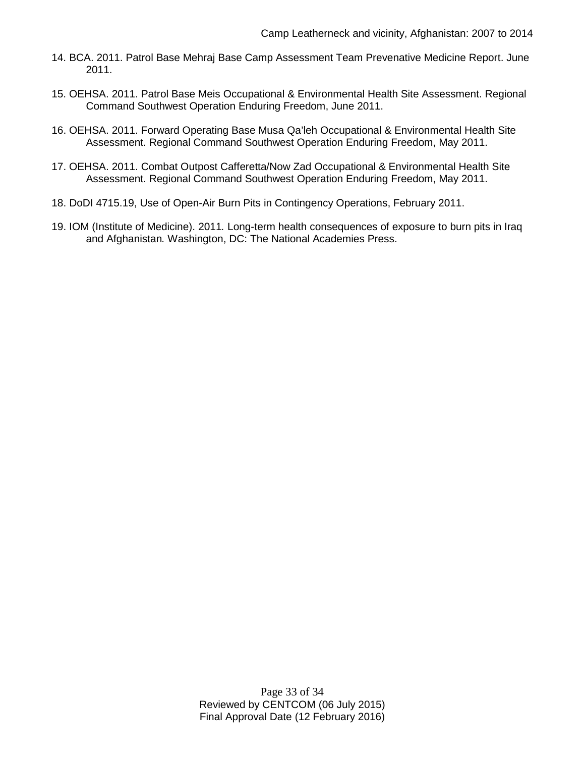- 14. BCA. 2011. Patrol Base Mehraj Base Camp Assessment Team Prevenative Medicine Report. June 2011.
- 15. OEHSA. 2011. Patrol Base Meis Occupational & Environmental Health Site Assessment. Regional Command Southwest Operation Enduring Freedom, June 2011.
- 16. OEHSA. 2011. Forward Operating Base Musa Qa'leh Occupational & Environmental Health Site Assessment. Regional Command Southwest Operation Enduring Freedom, May 2011.
- 17. OEHSA. 2011. Combat Outpost Cafferetta/Now Zad Occupational & Environmental Health Site Assessment. Regional Command Southwest Operation Enduring Freedom, May 2011.
- 18. DoDI 4715.19, Use of Open-Air Burn Pits in Contingency Operations, February 2011.
- 19. IOM (Institute of Medicine). 2011*.* Long-term health consequences of exposure to burn pits in Iraq and Afghanistan*.* Washington, DC: The National Academies Press.